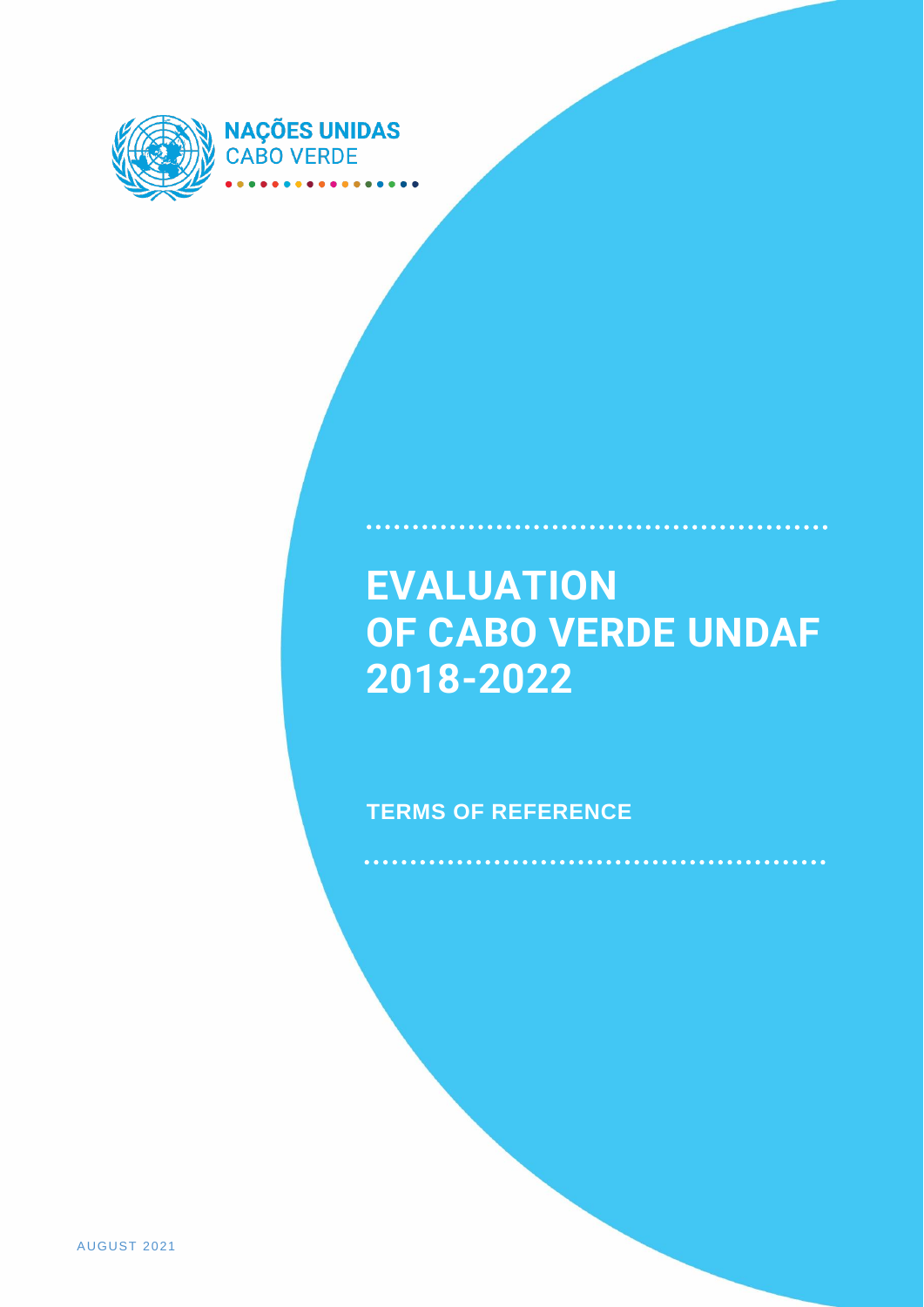

# **EVALUATION OF CABO VERDE UNDAF 2018-2022**

**TERMS OF REFERENCE**

TOR – EVALUATION OF CABO VERDE UNDAF 2018-2022 | AUGUST 2021 **0**

AUGUST 2021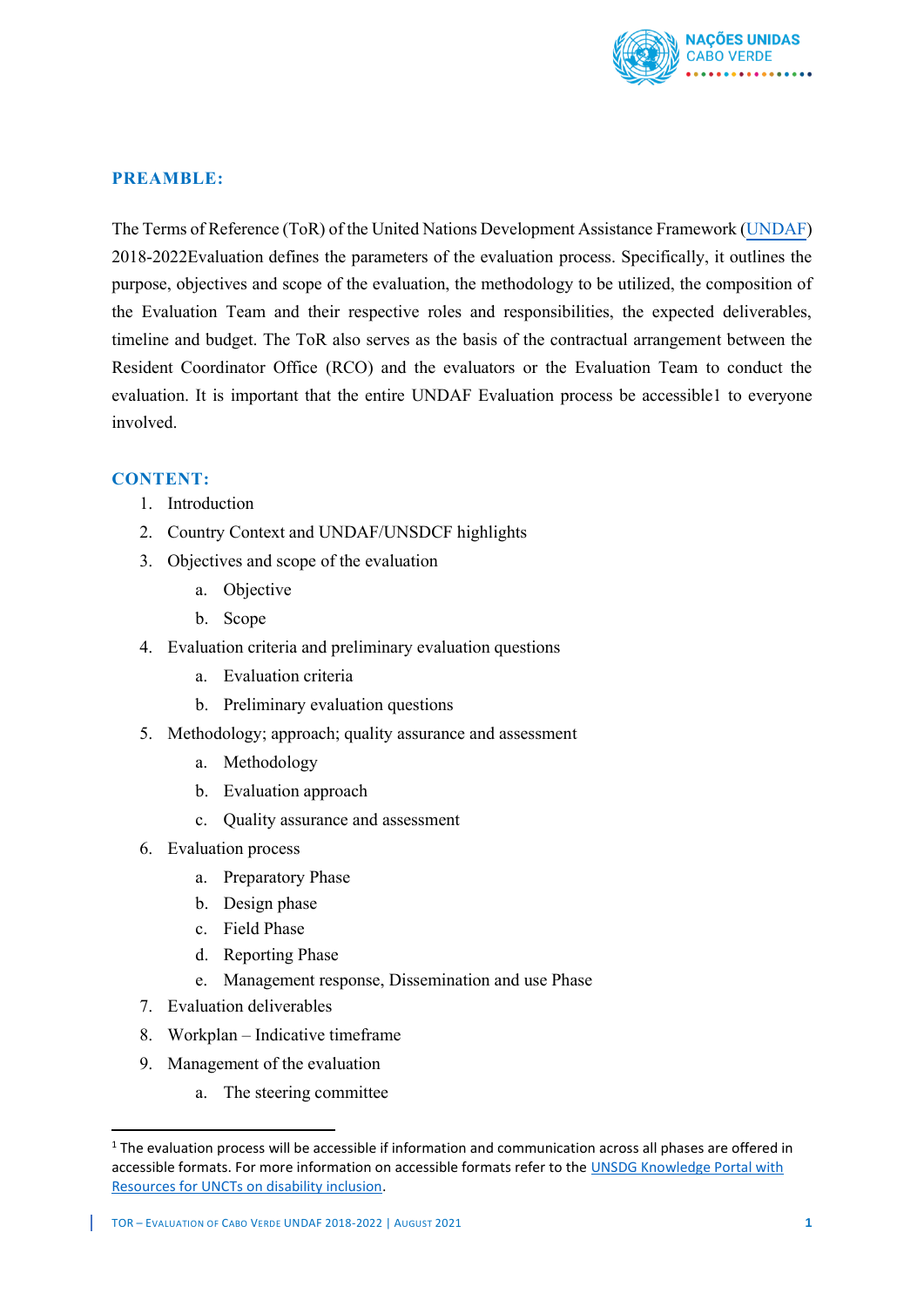

#### **PREAMBLE:**

The Terms of Reference (ToR) of the United Nations Development Assistance Framework [\(UNDAF\)](https://caboverde.un.org/pt/33740-quadro-de-cooperacao-das-nacoes-unidas-para-o-desenvolvimento-undaf-2018-2022) 2018-2022Evaluation defines the parameters of the evaluation process. Specifically, it outlines the purpose, objectives and scope of the evaluation, the methodology to be utilized, the composition of the Evaluation Team and their respective roles and responsibilities, the expected deliverables, timeline and budget. The ToR also serves as the basis of the contractual arrangement between the Resident Coordinator Office (RCO) and the evaluators or the Evaluation Team to conduct the evaluation. It is important that the entire UNDAF Evaluation process be accessible1 to everyone involved.

#### **CONTENT:**

- 1. Introduction
- 2. Country Context and UNDAF/UNSDCF highlights
- 3. Objectives and scope of the evaluation
	- a. Objective
	- b. Scope
- 4. Evaluation criteria and preliminary evaluation questions
	- a. Evaluation criteria
	- b. Preliminary evaluation questions
- 5. Methodology; approach; quality assurance and assessment
	- a. Methodology
	- b. Evaluation approach
	- c. Quality assurance and assessment
- 6. Evaluation process
	- a. Preparatory Phase
	- b. Design phase
	- c. Field Phase
	- d. Reporting Phase
	- e. Management response, Dissemination and use Phase
- 7. Evaluation deliverables
- 8. Workplan Indicative timeframe
- 9. Management of the evaluation
	- a. The steering committee

<sup>&</sup>lt;sup>1</sup> The evaluation process will be accessible if information and communication across all phases are offered in accessible formats. For more information on accessible formats refer to the [UNSDG Knowledge Portal with](https://unitednations.sharepoint.com/sites/DCO-WG-UNSDG_CF/SitePages/DIS.aspx)  [Resources for UNCTs on disability inclusion.](https://unitednations.sharepoint.com/sites/DCO-WG-UNSDG_CF/SitePages/DIS.aspx)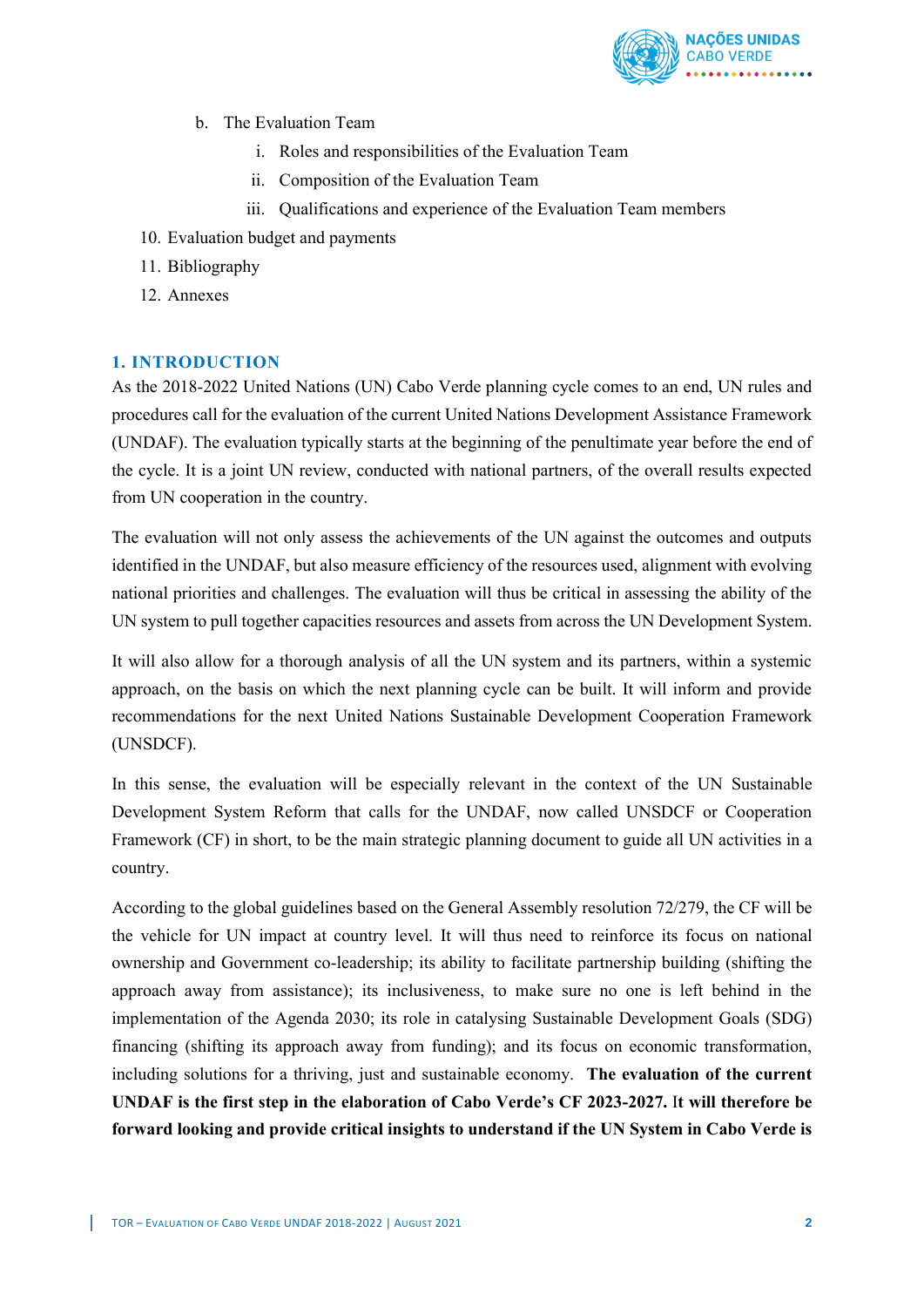

- b. The Evaluation Team
	- i. Roles and responsibilities of the Evaluation Team
	- ii. Composition of the Evaluation Team
	- iii. Qualifications and experience of the Evaluation Team members
- 10. Evaluation budget and payments
- 11. Bibliography
- 12. Annexes

#### **1. INTRODUCTION**

As the 2018-2022 United Nations (UN) Cabo Verde planning cycle comes to an end, UN rules and procedures call for the evaluation of the current United Nations Development Assistance Framework (UNDAF). The evaluation typically starts at the beginning of the penultimate year before the end of the cycle. It is a joint UN review, conducted with national partners, of the overall results expected from UN cooperation in the country.

The evaluation will not only assess the achievements of the UN against the outcomes and outputs identified in the UNDAF, but also measure efficiency of the resources used, alignment with evolving national priorities and challenges. The evaluation will thus be critical in assessing the ability of the UN system to pull together capacities resources and assets from across the UN Development System.

It will also allow for a thorough analysis of all the UN system and its partners, within a systemic approach, on the basis on which the next planning cycle can be built. It will inform and provide recommendations for the next United Nations Sustainable Development Cooperation Framework (UNSDCF).

In this sense, the evaluation will be especially relevant in the context of the UN Sustainable Development System Reform that calls for the UNDAF, now called UNSDCF or Cooperation Framework (CF) in short, to be the main strategic planning document to guide all UN activities in a country.

According to the global guidelines based on the General Assembly resolution 72/279, the CF will be the vehicle for UN impact at country level. It will thus need to reinforce its focus on national ownership and Government co-leadership; its ability to facilitate partnership building (shifting the approach away from assistance); its inclusiveness, to make sure no one is left behind in the implementation of the Agenda 2030; its role in catalysing Sustainable Development Goals (SDG) financing (shifting its approach away from funding); and its focus on economic transformation, including solutions for a thriving, just and sustainable economy. **The evaluation of the current UNDAF is the first step in the elaboration of Cabo Verde's CF 2023-2027.** I**t will therefore be forward looking and provide critical insights to understand if the UN System in Cabo Verde is**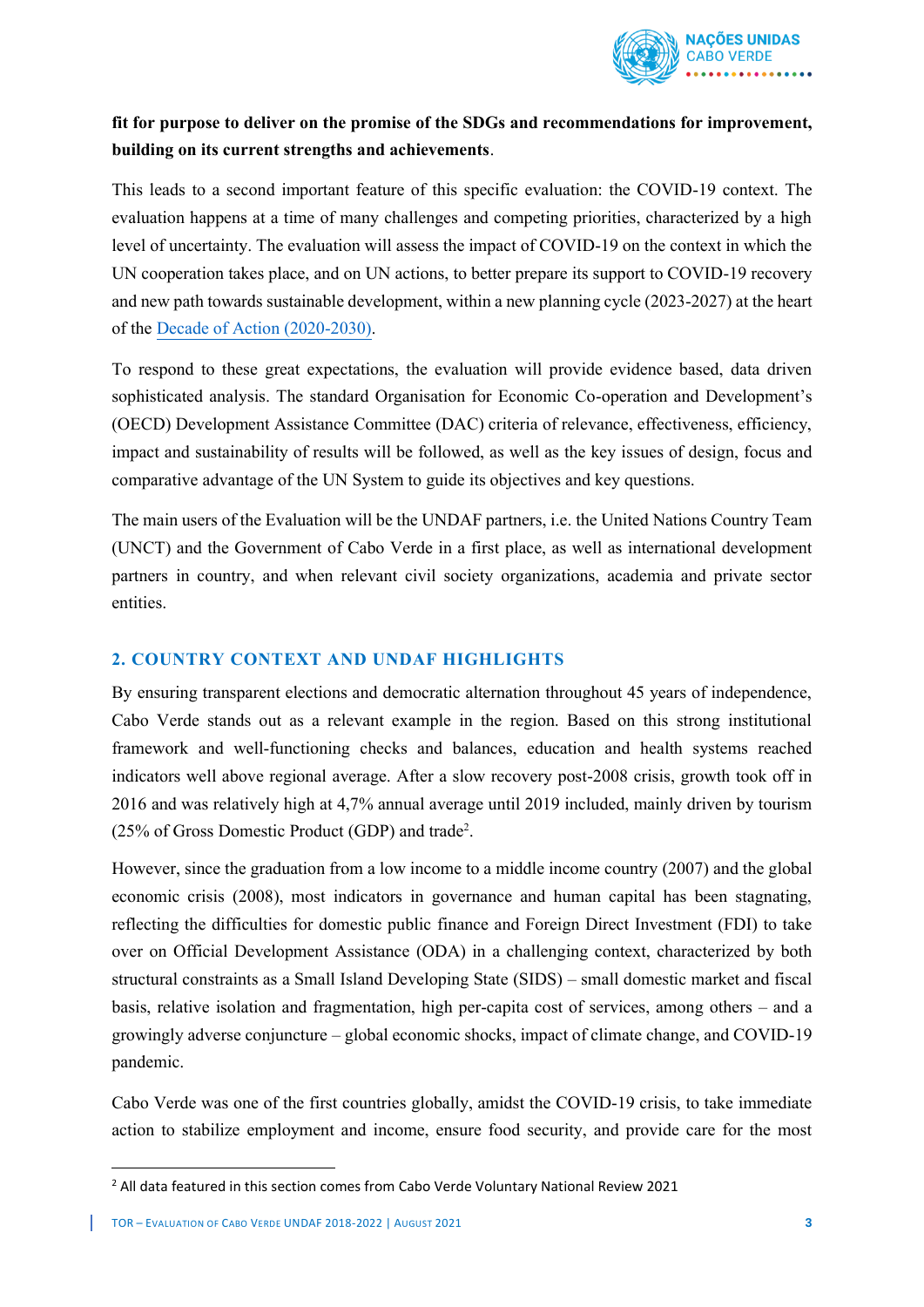

# **fit for purpose to deliver on the promise of the SDGs and recommendations for improvement, building on its current strengths and achievements**.

This leads to a second important feature of this specific evaluation: the COVID-19 context. The evaluation happens at a time of many challenges and competing priorities, characterized by a high level of uncertainty. The evaluation will assess the impact of COVID-19 on the context in which the UN cooperation takes place, and on UN actions, to better prepare its support to COVID-19 recovery and new path towards sustainable development, within a new planning cycle (2023-2027) at the heart of the [Decade of Action \(2020-2030\).](https://www.un.org/sustainabledevelopment/decade-of-action/)

To respond to these great expectations, the evaluation will provide evidence based, data driven sophisticated analysis. The standard Organisation for Economic Co-operation and Development's (OECD) Development Assistance Committee (DAC) criteria of relevance, effectiveness, efficiency, impact and sustainability of results will be followed, as well as the key issues of design, focus and comparative advantage of the UN System to guide its objectives and key questions.

The main users of the Evaluation will be the UNDAF partners, i.e. the United Nations Country Team (UNCT) and the Government of Cabo Verde in a first place, as well as international development partners in country, and when relevant civil society organizations, academia and private sector entities.

#### **2. COUNTRY CONTEXT AND UNDAF HIGHLIGHTS**

By ensuring transparent elections and democratic alternation throughout 45 years of independence, Cabo Verde stands out as a relevant example in the region. Based on this strong institutional framework and well-functioning checks and balances, education and health systems reached indicators well above regional average. After a slow recovery post-2008 crisis, growth took off in 2016 and was relatively high at 4,7% annual average until 2019 included, mainly driven by tourism (25% of Gross Domestic Product (GDP) and trade<sup>2</sup> .

However, since the graduation from a low income to a middle income country (2007) and the global economic crisis (2008), most indicators in governance and human capital has been stagnating, reflecting the difficulties for domestic public finance and Foreign Direct Investment (FDI) to take over on Official Development Assistance (ODA) in a challenging context, characterized by both structural constraints as a Small Island Developing State (SIDS) – small domestic market and fiscal basis, relative isolation and fragmentation, high per-capita cost of services, among others – and a growingly adverse conjuncture – global economic shocks, impact of climate change, and COVID-19 pandemic.

Cabo Verde was one of the first countries globally, amidst the COVID-19 crisis, to take immediate action to stabilize employment and income, ensure food security, and provide care for the most

<sup>&</sup>lt;sup>2</sup> All data featured in this section comes from Cabo Verde Voluntary National Review 2021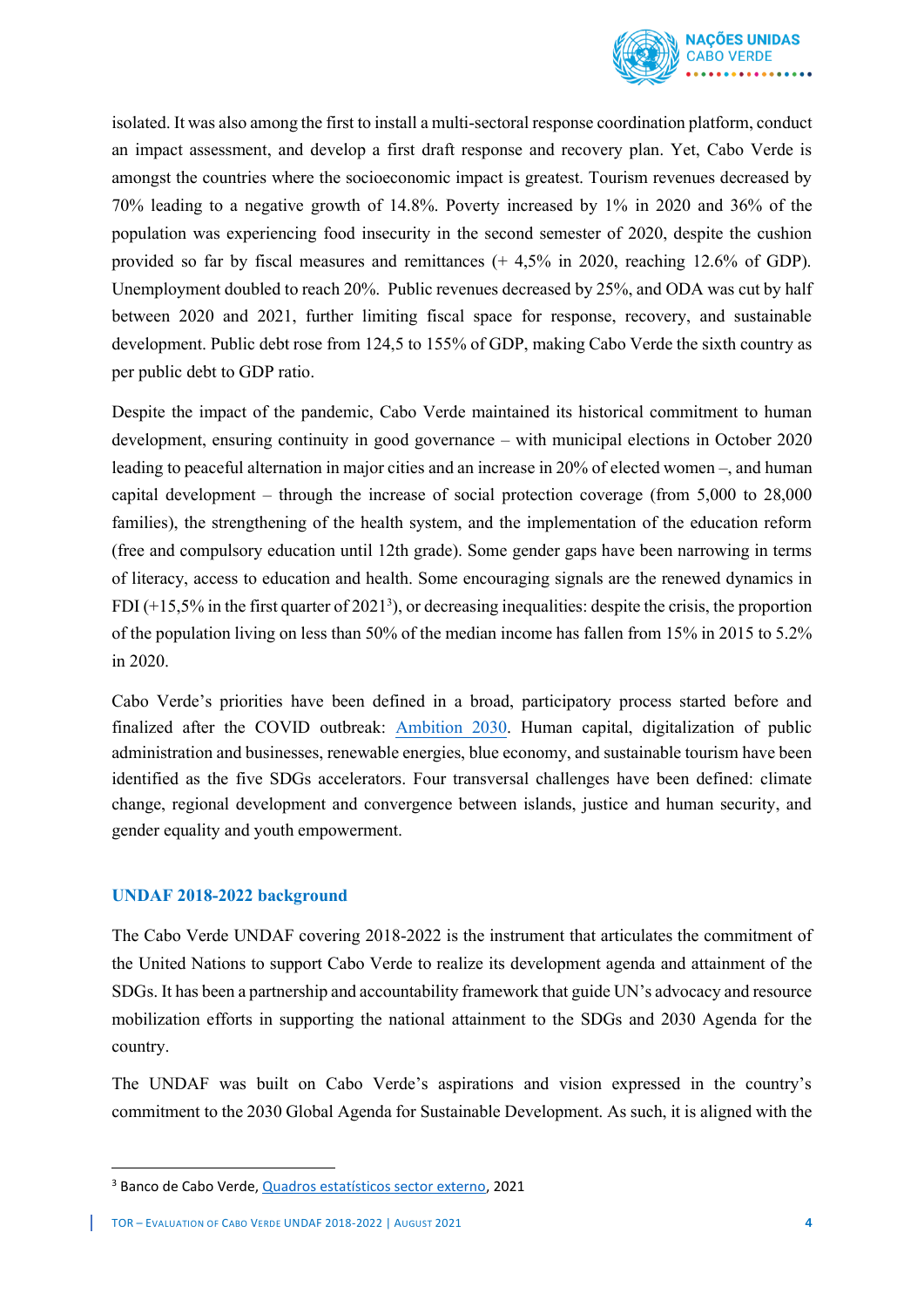

isolated. It was also among the first to install a multi-sectoral response coordination platform, conduct an impact assessment, and develop a first draft response and recovery plan. Yet, Cabo Verde is amongst the countries where the socioeconomic impact is greatest. Tourism revenues decreased by 70% leading to a negative growth of 14.8%. Poverty increased by 1% in 2020 and 36% of the population was experiencing food insecurity in the second semester of 2020, despite the cushion provided so far by fiscal measures and remittances (+ 4,5% in 2020, reaching 12.6% of GDP). Unemployment doubled to reach 20%. Public revenues decreased by 25%, and ODA was cut by half between 2020 and 2021, further limiting fiscal space for response, recovery, and sustainable development. Public debt rose from 124,5 to 155% of GDP, making Cabo Verde the sixth country as per public debt to GDP ratio.

Despite the impact of the pandemic, Cabo Verde maintained its historical commitment to human development, ensuring continuity in good governance – with municipal elections in October 2020 leading to peaceful alternation in major cities and an increase in 20% of elected women –, and human capital development – through the increase of social protection coverage (from 5,000 to 28,000 families), the strengthening of the health system, and the implementation of the education reform (free and compulsory education until 12th grade). Some gender gaps have been narrowing in terms of literacy, access to education and health. Some encouraging signals are the renewed dynamics in FDI (+15,5% in the first quarter of 2021<sup>3</sup>), or decreasing inequalities: despite the crisis, the proportion of the population living on less than 50% of the median income has fallen from 15% in 2015 to 5.2% in 2020.

Cabo Verde's priorities have been defined in a broad, participatory process started before and finalized after the COVID outbreak: [Ambition 2030.](https://peds.gov.cv/cva2030/cva2030/) Human capital, digitalization of public administration and businesses, renewable energies, blue economy, and sustainable tourism have been identified as the five SDGs accelerators. Four transversal challenges have been defined: climate change, regional development and convergence between islands, justice and human security, and gender equality and youth empowerment.

#### **UNDAF 2018-2022 background**

The Cabo Verde UNDAF covering 2018-2022 is the instrument that articulates the commitment of the United Nations to support Cabo Verde to realize its development agenda and attainment of the SDGs. It has been a partnership and accountability framework that guide UN's advocacy and resource mobilization efforts in supporting the national attainment to the SDGs and 2030 Agenda for the country.

The UNDAF was built on Cabo Verde's aspirations and vision expressed in the country's commitment to the 2030 Global Agenda for Sustainable Development. As such, it is aligned with the

TOR – EVALUATION OF CABO VERDE UNDAF 2018-2022 | AUGUST 2021 **4**

<sup>3</sup> Banco de Cabo Verde, [Quadros estatísticos sector externo,](https://www.bcv.cv/pt/Estatisticas/Quadros%20Estatisticos/Sector%20Externo/quadrosestatisticos/Paginas/BalancadePagamentos.aspx) 2021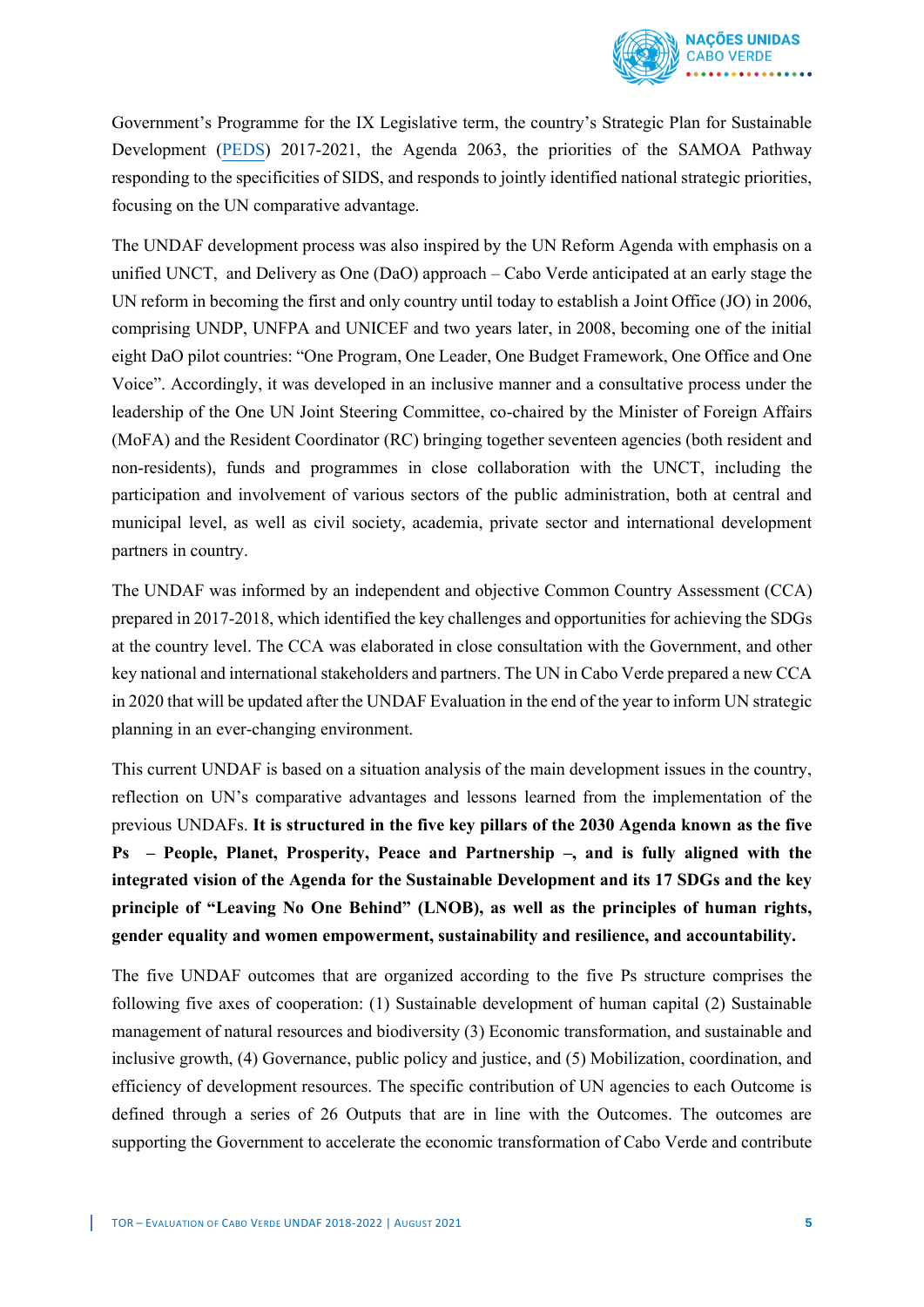

Government's Programme for the IX Legislative term, the country's Strategic Plan for Sustainable Development [\(PEDS\)](https://peds.gov.cv/sites/default/files/2018-10/PEDS%202017-2021%20-%20Vers%C3%A3o%20Final.pdf) 2017-2021, the Agenda 2063, the priorities of the SAMOA Pathway responding to the specificities of SIDS, and responds to jointly identified national strategic priorities, focusing on the UN comparative advantage.

The UNDAF development process was also inspired by the UN Reform Agenda with emphasis on a unified UNCT, and Delivery as One (DaO) approach – Cabo Verde anticipated at an early stage the UN reform in becoming the first and only country until today to establish a Joint Office (JO) in 2006, comprising UNDP, UNFPA and UNICEF and two years later, in 2008, becoming one of the initial eight DaO pilot countries: "One Program, One Leader, One Budget Framework, One Office and One Voice". Accordingly, it was developed in an inclusive manner and a consultative process under the leadership of the One UN Joint Steering Committee, co-chaired by the Minister of Foreign Affairs (MoFA) and the Resident Coordinator (RC) bringing together seventeen agencies (both resident and non-residents), funds and programmes in close collaboration with the UNCT, including the participation and involvement of various sectors of the public administration, both at central and municipal level, as well as civil society, academia, private sector and international development partners in country.

The UNDAF was informed by an independent and objective Common Country Assessment (CCA) prepared in 2017-2018, which identified the key challenges and opportunities for achieving the SDGs at the country level. The CCA was elaborated in close consultation with the Government, and other key national and international stakeholders and partners. The UN in Cabo Verde prepared a new CCA in 2020 that will be updated after the UNDAF Evaluation in the end of the year to inform UN strategic planning in an ever-changing environment.

This current UNDAF is based on a situation analysis of the main development issues in the country, reflection on UN's comparative advantages and lessons learned from the implementation of the previous UNDAFs. **It is structured in the five key pillars of the 2030 Agenda known as the five Ps – People, Planet, Prosperity, Peace and Partnership –, and is fully aligned with the integrated vision of the Agenda for the Sustainable Development and its 17 SDGs and the key principle of "Leaving No One Behind" (LNOB), as well as the principles of human rights, gender equality and women empowerment, sustainability and resilience, and accountability.** 

The five UNDAF outcomes that are organized according to the five Ps structure comprises the following five axes of cooperation: (1) Sustainable development of human capital (2) Sustainable management of natural resources and biodiversity (3) Economic transformation, and sustainable and inclusive growth, (4) Governance, public policy and justice, and (5) Mobilization, coordination, and efficiency of development resources. The specific contribution of UN agencies to each Outcome is defined through a series of 26 Outputs that are in line with the Outcomes. The outcomes are supporting the Government to accelerate the economic transformation of Cabo Verde and contribute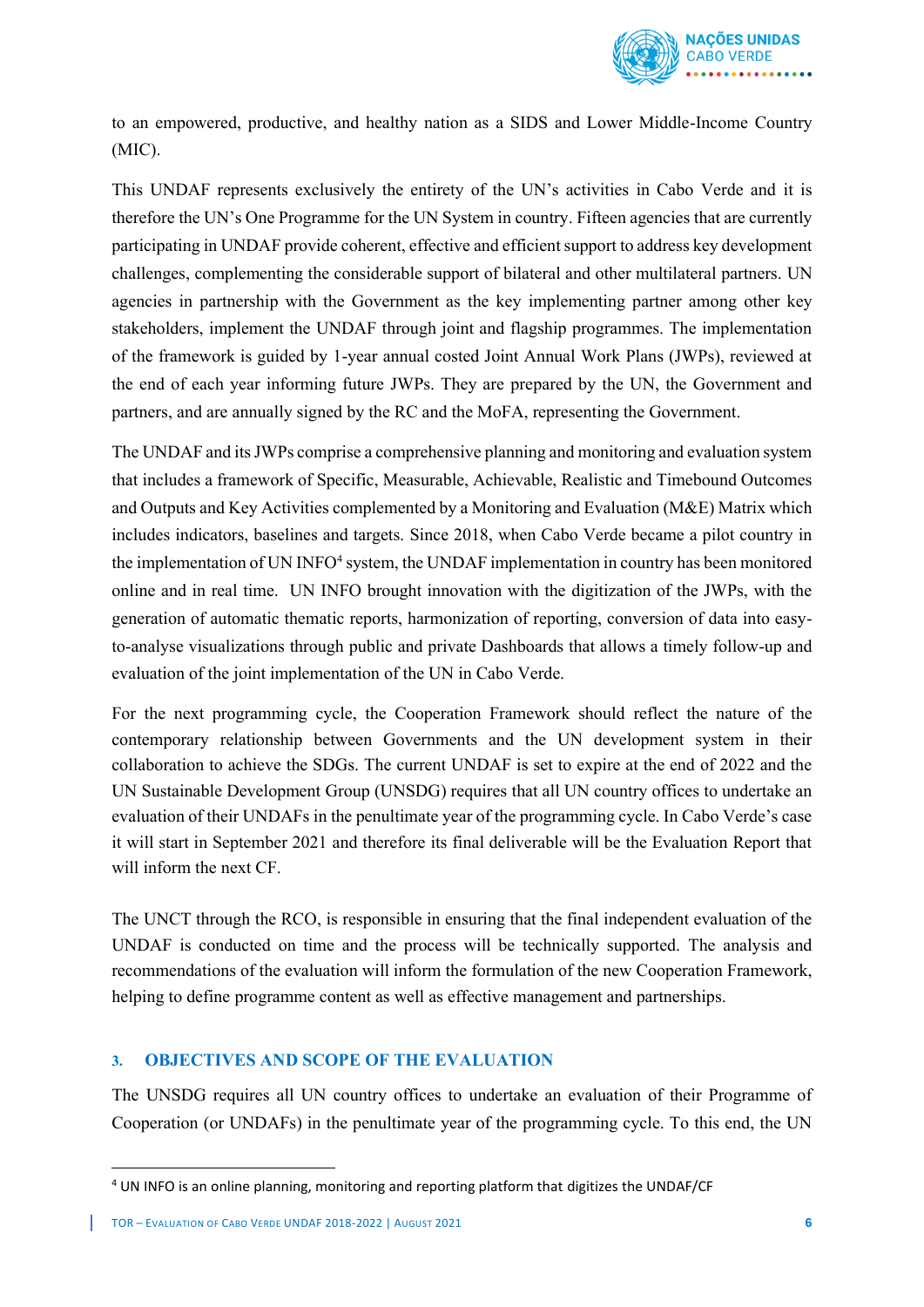

to an empowered, productive, and healthy nation as a SIDS and Lower Middle-Income Country (MIC).

This UNDAF represents exclusively the entirety of the UN's activities in Cabo Verde and it is therefore the UN's One Programme for the UN System in country. Fifteen agencies that are currently participating in UNDAF provide coherent, effective and efficient support to address key development challenges, complementing the considerable support of bilateral and other multilateral partners. UN agencies in partnership with the Government as the key implementing partner among other key stakeholders, implement the UNDAF through joint and flagship programmes. The implementation of the framework is guided by 1-year annual costed Joint Annual Work Plans (JWPs), reviewed at the end of each year informing future JWPs. They are prepared by the UN, the Government and partners, and are annually signed by the RC and the MoFA, representing the Government.

The UNDAF and its JWPs comprise a comprehensive planning and monitoring and evaluation system that includes a framework of Specific, Measurable, Achievable, Realistic and Timebound Outcomes and Outputs and Key Activities complemented by a Monitoring and Evaluation (M&E) Matrix which includes indicators, baselines and targets. Since 2018, when Cabo Verde became a pilot country in the implementation of UN INFO<sup>4</sup> system, the UNDAF implementation in country has been monitored online and in real time. UN INFO brought innovation with the digitization of the JWPs, with the generation of automatic thematic reports, harmonization of reporting, conversion of data into easyto-analyse visualizations through public and private Dashboards that allows a timely follow-up and evaluation of the joint implementation of the UN in Cabo Verde.

For the next programming cycle, the Cooperation Framework should reflect the nature of the contemporary relationship between Governments and the UN development system in their collaboration to achieve the SDGs. The current UNDAF is set to expire at the end of 2022 and the UN Sustainable Development Group (UNSDG) requires that all UN country offices to undertake an evaluation of their UNDAFs in the penultimate year of the programming cycle. In Cabo Verde's case it will start in September 2021 and therefore its final deliverable will be the Evaluation Report that will inform the next CF.

The UNCT through the RCO, is responsible in ensuring that the final independent evaluation of the UNDAF is conducted on time and the process will be technically supported. The analysis and recommendations of the evaluation will inform the formulation of the new Cooperation Framework, helping to define programme content as well as effective management and partnerships.

#### **3. OBJECTIVES AND SCOPE OF THE EVALUATION**

The UNSDG requires all UN country offices to undertake an evaluation of their Programme of Cooperation (or UNDAFs) in the penultimate year of the programming cycle. To this end, the UN

TOR – EVALUATION OF CABO VERDE UNDAF 2018-2022 | AUGUST 2021 **6**

<sup>4</sup> UN INFO is an online planning, monitoring and reporting platform that digitizes the UNDAF/CF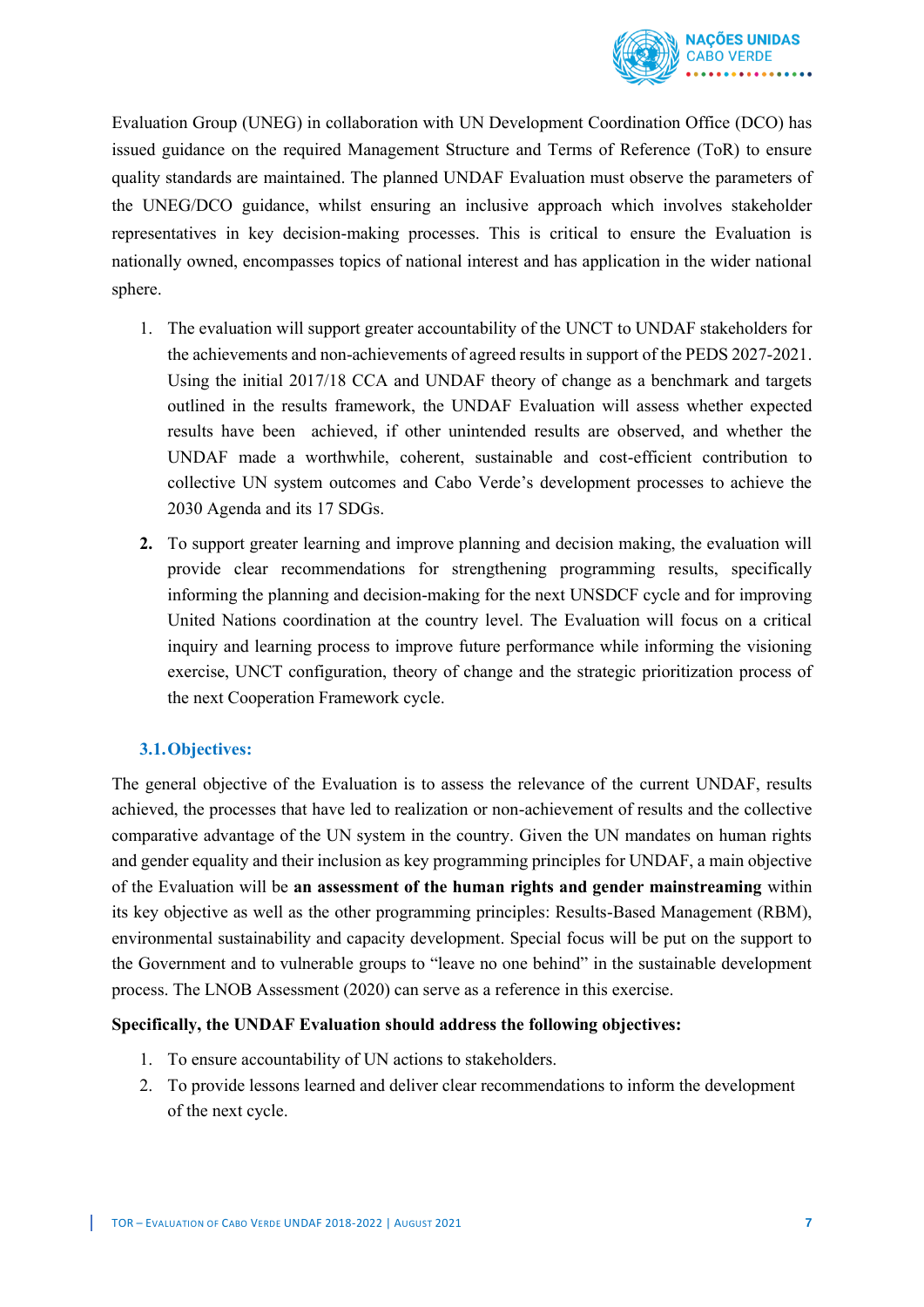

Evaluation Group (UNEG) in collaboration with UN Development Coordination Office (DCO) has issued guidance on the required Management Structure and Terms of Reference (ToR) to ensure quality standards are maintained. The planned UNDAF Evaluation must observe the parameters of the UNEG/DCO guidance, whilst ensuring an inclusive approach which involves stakeholder representatives in key decision-making processes. This is critical to ensure the Evaluation is nationally owned, encompasses topics of national interest and has application in the wider national sphere.

- 1. The evaluation will support greater accountability of the UNCT to UNDAF stakeholders for the achievements and non-achievements of agreed results in support of the PEDS 2027-2021. Using the initial 2017/18 CCA and UNDAF theory of change as a benchmark and targets outlined in the results framework, the UNDAF Evaluation will assess whether expected results have been achieved, if other unintended results are observed, and whether the UNDAF made a worthwhile, coherent, sustainable and cost-efficient contribution to collective UN system outcomes and Cabo Verde's development processes to achieve the 2030 Agenda and its 17 SDGs.
- **2.** To support greater learning and improve planning and decision making, the evaluation will provide clear recommendations for strengthening programming results, specifically informing the planning and decision-making for the next UNSDCF cycle and for improving United Nations coordination at the country level. The Evaluation will focus on a critical inquiry and learning process to improve future performance while informing the visioning exercise, UNCT configuration, theory of change and the strategic prioritization process of the next Cooperation Framework cycle.

#### **3.1.Objectives:**

The general objective of the Evaluation is to assess the relevance of the current UNDAF, results achieved, the processes that have led to realization or non-achievement of results and the collective comparative advantage of the UN system in the country. Given the UN mandates on human rights and gender equality and their inclusion as key programming principles for UNDAF, a main objective of the Evaluation will be **an assessment of the human rights and gender mainstreaming** within its key objective as well as the other programming principles: Results-Based Management (RBM), environmental sustainability and capacity development. Special focus will be put on the support to the Government and to vulnerable groups to "leave no one behind" in the sustainable development process. The LNOB Assessment (2020) can serve as a reference in this exercise.

#### **Specifically, the UNDAF Evaluation should address the following objectives:**

- 1. To ensure accountability of UN actions to stakeholders.
- 2. To provide lessons learned and deliver clear recommendations to inform the development of the next cycle.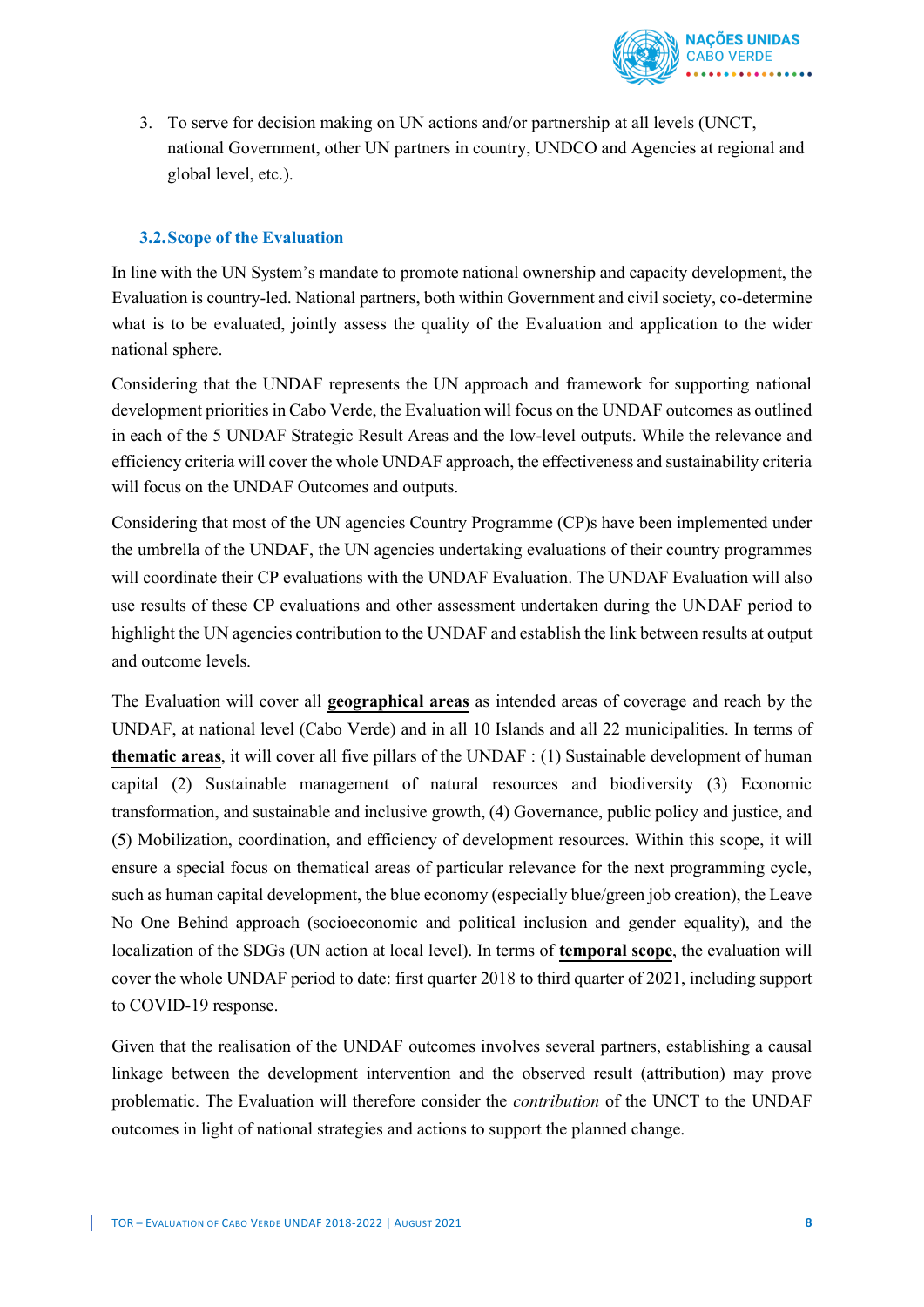

3. To serve for decision making on UN actions and/or partnership at all levels (UNCT, national Government, other UN partners in country, UNDCO and Agencies at regional and global level, etc.).

#### **3.2.Scope of the Evaluation**

In line with the UN System's mandate to promote national ownership and capacity development, the Evaluation is country-led. National partners, both within Government and civil society, co-determine what is to be evaluated, jointly assess the quality of the Evaluation and application to the wider national sphere.

Considering that the UNDAF represents the UN approach and framework for supporting national development priorities in Cabo Verde, the Evaluation will focus on the UNDAF outcomes as outlined in each of the 5 UNDAF Strategic Result Areas and the low-level outputs. While the relevance and efficiency criteria will cover the whole UNDAF approach, the effectiveness and sustainability criteria will focus on the UNDAF Outcomes and outputs.

Considering that most of the UN agencies Country Programme (CP)s have been implemented under the umbrella of the UNDAF, the UN agencies undertaking evaluations of their country programmes will coordinate their CP evaluations with the UNDAF Evaluation. The UNDAF Evaluation will also use results of these CP evaluations and other assessment undertaken during the UNDAF period to highlight the UN agencies contribution to the UNDAF and establish the link between results at output and outcome levels.

The Evaluation will cover all **geographical areas** as intended areas of coverage and reach by the UNDAF, at national level (Cabo Verde) and in all 10 Islands and all 22 municipalities. In terms of **thematic areas**, it will cover all five pillars of the UNDAF : (1) Sustainable development of human capital (2) Sustainable management of natural resources and biodiversity (3) Economic transformation, and sustainable and inclusive growth, (4) Governance, public policy and justice, and (5) Mobilization, coordination, and efficiency of development resources. Within this scope, it will ensure a special focus on thematical areas of particular relevance for the next programming cycle, such as human capital development, the blue economy (especially blue/green job creation), the Leave No One Behind approach (socioeconomic and political inclusion and gender equality), and the localization of the SDGs (UN action at local level). In terms of **temporal scope**, the evaluation will cover the whole UNDAF period to date: first quarter 2018 to third quarter of 2021, including support to COVID-19 response.

Given that the realisation of the UNDAF outcomes involves several partners, establishing a causal linkage between the development intervention and the observed result (attribution) may prove problematic. The Evaluation will therefore consider the *contribution* of the UNCT to the UNDAF outcomes in light of national strategies and actions to support the planned change.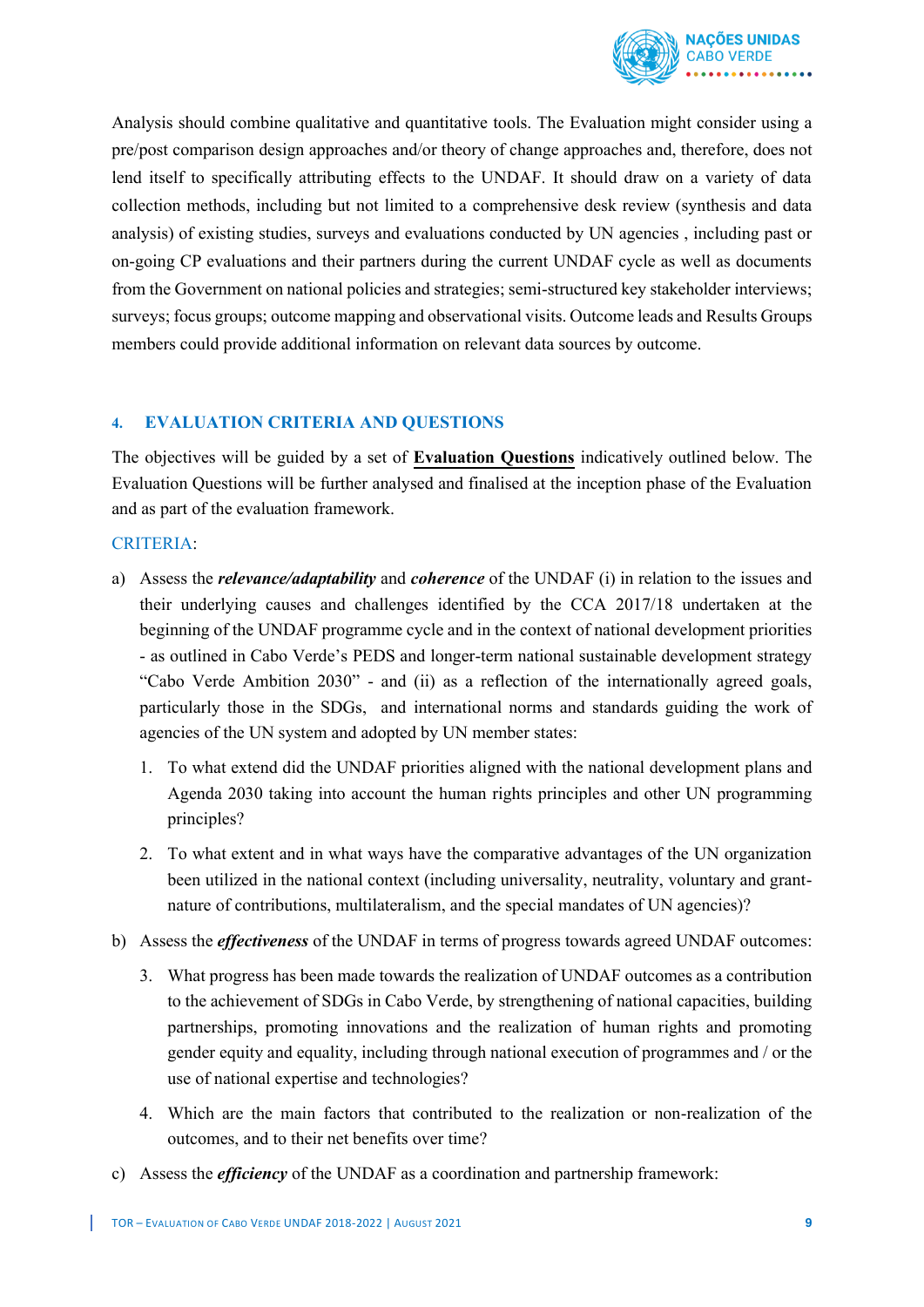

Analysis should combine qualitative and quantitative tools. The Evaluation might consider using a pre/post comparison design approaches and/or theory of change approaches and, therefore, does not lend itself to specifically attributing effects to the UNDAF. It should draw on a variety of data collection methods, including but not limited to a comprehensive desk review (synthesis and data analysis) of existing studies, surveys and evaluations conducted by UN agencies , including past or on-going CP evaluations and their partners during the current UNDAF cycle as well as documents from the Government on national policies and strategies; semi-structured key stakeholder interviews; surveys; focus groups; outcome mapping and observational visits. Outcome leads and Results Groups members could provide additional information on relevant data sources by outcome.

#### **4. EVALUATION CRITERIA AND QUESTIONS**

The objectives will be guided by a set of **Evaluation Questions** indicatively outlined below. The Evaluation Questions will be further analysed and finalised at the inception phase of the Evaluation and as part of the evaluation framework.

#### CRITERIA:

- a) Assess the *relevance/adaptability* and *coherence* of the UNDAF (i) in relation to the issues and their underlying causes and challenges identified by the CCA 2017/18 undertaken at the beginning of the UNDAF programme cycle and in the context of national development priorities - as outlined in Cabo Verde's PEDS and longer-term national sustainable development strategy "Cabo Verde Ambition 2030" - and (ii) as a reflection of the internationally agreed goals, particularly those in the SDGs, and international norms and standards guiding the work of agencies of the UN system and adopted by UN member states:
	- 1. To what extend did the UNDAF priorities aligned with the national development plans and Agenda 2030 taking into account the human rights principles and other UN programming principles?
	- 2. To what extent and in what ways have the comparative advantages of the UN organization been utilized in the national context (including universality, neutrality, voluntary and grantnature of contributions, multilateralism, and the special mandates of UN agencies)?
- b) Assess the *effectiveness* of the UNDAF in terms of progress towards agreed UNDAF outcomes:
	- 3. What progress has been made towards the realization of UNDAF outcomes as a contribution to the achievement of SDGs in Cabo Verde, by strengthening of national capacities, building partnerships, promoting innovations and the realization of human rights and promoting gender equity and equality, including through national execution of programmes and / or the use of national expertise and technologies?
	- 4. Which are the main factors that contributed to the realization or non-realization of the outcomes, and to their net benefits over time?
- c) Assess the *efficiency* of the UNDAF as a coordination and partnership framework: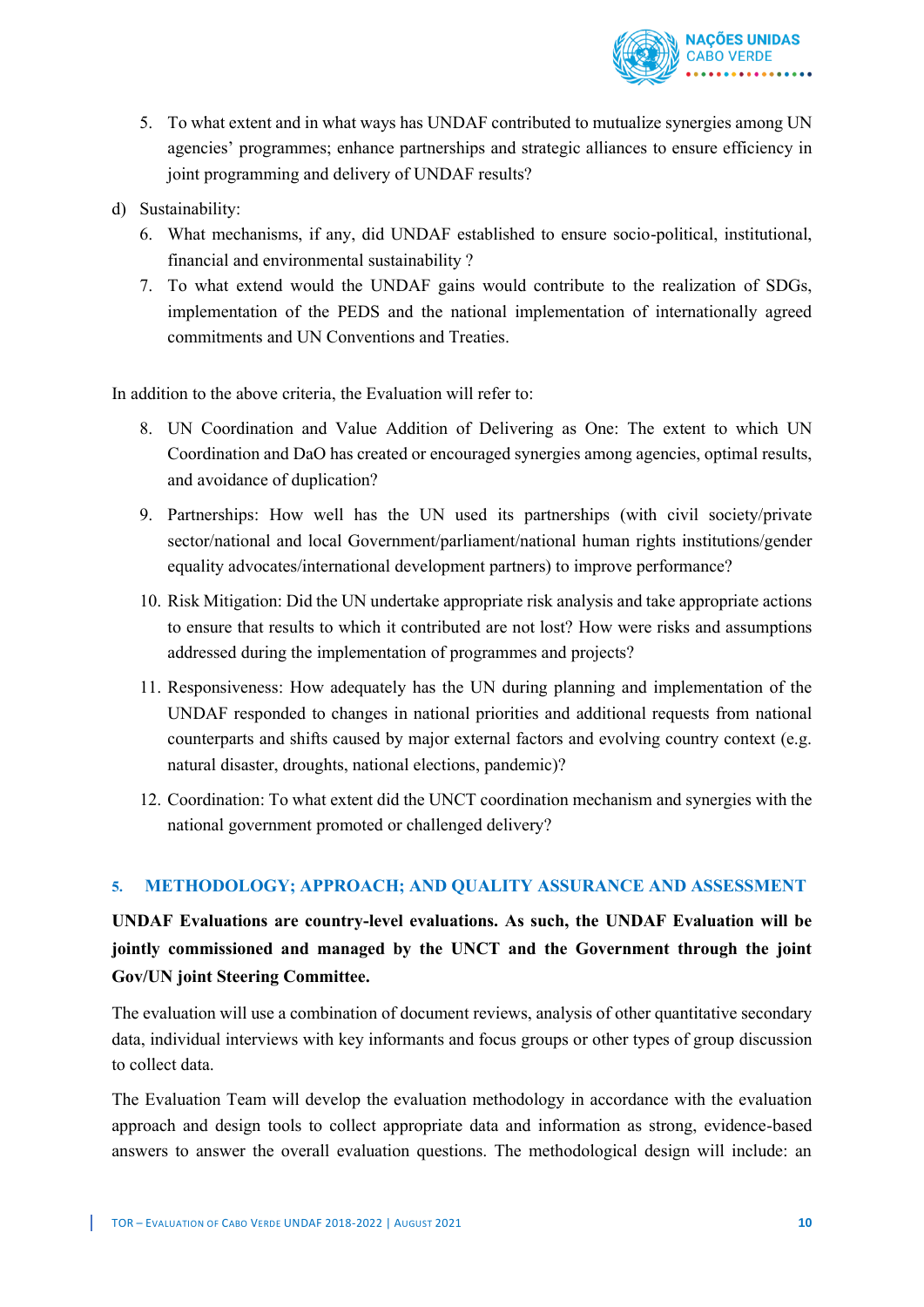

- 5. To what extent and in what ways has UNDAF contributed to mutualize synergies among UN agencies' programmes; enhance partnerships and strategic alliances to ensure efficiency in joint programming and delivery of UNDAF results?
- d) Sustainability:
	- 6. What mechanisms, if any, did UNDAF established to ensure socio-political, institutional, financial and environmental sustainability ?
	- 7. To what extend would the UNDAF gains would contribute to the realization of SDGs, implementation of the PEDS and the national implementation of internationally agreed commitments and UN Conventions and Treaties.

In addition to the above criteria, the Evaluation will refer to:

- 8. UN Coordination and Value Addition of Delivering as One: The extent to which UN Coordination and DaO has created or encouraged synergies among agencies, optimal results, and avoidance of duplication?
- 9. Partnerships: How well has the UN used its partnerships (with civil society/private sector/national and local Government/parliament/national human rights institutions/gender equality advocates/international development partners) to improve performance?
- 10. Risk Mitigation: Did the UN undertake appropriate risk analysis and take appropriate actions to ensure that results to which it contributed are not lost? How were risks and assumptions addressed during the implementation of programmes and projects?
- 11. Responsiveness: How adequately has the UN during planning and implementation of the UNDAF responded to changes in national priorities and additional requests from national counterparts and shifts caused by major external factors and evolving country context (e.g. natural disaster, droughts, national elections, pandemic)?
- 12. Coordination: To what extent did the UNCT coordination mechanism and synergies with the national government promoted or challenged delivery?

#### **5. METHODOLOGY; APPROACH; AND QUALITY ASSURANCE AND ASSESSMENT**

**UNDAF Evaluations are country-level evaluations. As such, the UNDAF Evaluation will be jointly commissioned and managed by the UNCT and the Government through the joint Gov/UN joint Steering Committee.** 

The evaluation will use a combination of document reviews, analysis of other quantitative secondary data, individual interviews with key informants and focus groups or other types of group discussion to collect data.

The Evaluation Team will develop the evaluation methodology in accordance with the evaluation approach and design tools to collect appropriate data and information as strong, evidence-based answers to answer the overall evaluation questions. The methodological design will include: an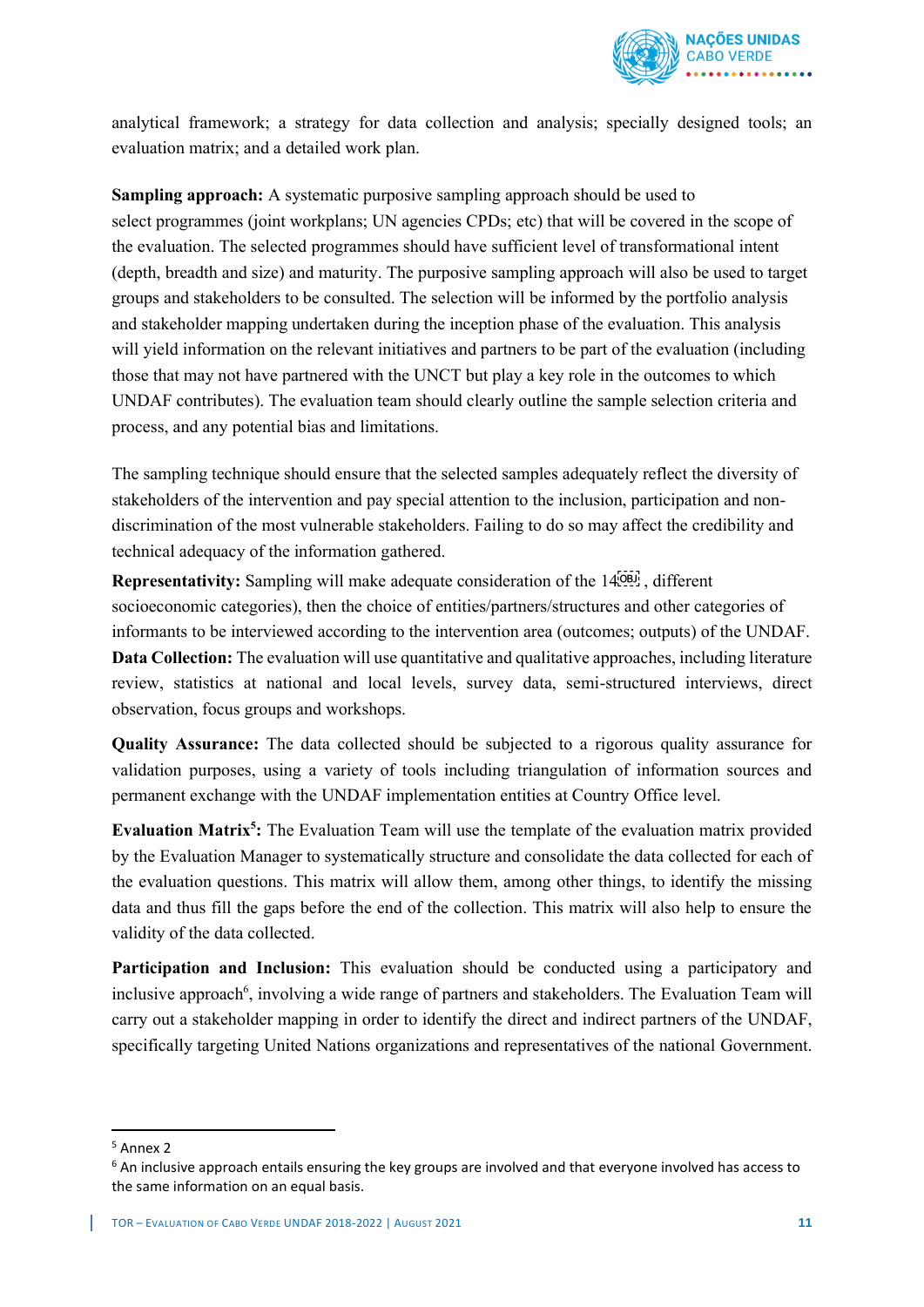

analytical framework; a strategy for data collection and analysis; specially designed tools; an evaluation matrix; and a detailed work plan.

**Sampling approach:** A systematic purposive sampling approach should be used to select programmes (joint workplans; UN agencies CPDs; etc) that will be covered in the scope of the evaluation. The selected programmes should have sufficient level of transformational intent (depth, breadth and size) and maturity. The purposive sampling approach will also be used to target groups and stakeholders to be consulted. The selection will be informed by the portfolio analysis and stakeholder mapping undertaken during the inception phase of the evaluation. This analysis will yield information on the relevant initiatives and partners to be part of the evaluation (including those that may not have partnered with the UNCT but play a key role in the outcomes to which UNDAF contributes). The evaluation team should clearly outline the sample selection criteria and process, and any potential bias and limitations.

The sampling technique should ensure that the selected samples adequately reflect the diversity of stakeholders of the intervention and pay special attention to the inclusion, participation and nondiscrimination of the most vulnerable stakeholders. Failing to do so may affect the credibility and technical adequacy of the information gathered.

**Representativity:** Sampling will make adequate consideration of the 14<sup>681</sup>. different socioeconomic categories), then the choice of entities/partners/structures and other categories of informants to be interviewed according to the intervention area (outcomes; outputs) of the UNDAF. **Data Collection:** The evaluation will use quantitative and qualitative approaches, including literature review, statistics at national and local levels, survey data, semi-structured interviews, direct observation, focus groups and workshops.

**Quality Assurance:** The data collected should be subjected to a rigorous quality assurance for validation purposes, using a variety of tools including triangulation of information sources and permanent exchange with the UNDAF implementation entities at Country Office level.

**Evaluation Matrix<sup>5</sup> :** The Evaluation Team will use the template of the evaluation matrix provided by the Evaluation Manager to systematically structure and consolidate the data collected for each of the evaluation questions. This matrix will allow them, among other things, to identify the missing data and thus fill the gaps before the end of the collection. This matrix will also help to ensure the validity of the data collected.

**Participation and Inclusion:** This evaluation should be conducted using a participatory and inclusive approach<sup>6</sup>, involving a wide range of partners and stakeholders. The Evaluation Team will carry out a stakeholder mapping in order to identify the direct and indirect partners of the UNDAF, specifically targeting United Nations organizations and representatives of the national Government.

<sup>5</sup> Annex 2

<sup>&</sup>lt;sup>6</sup> An inclusive approach entails ensuring the key groups are involved and that everyone involved has access to the same information on an equal basis.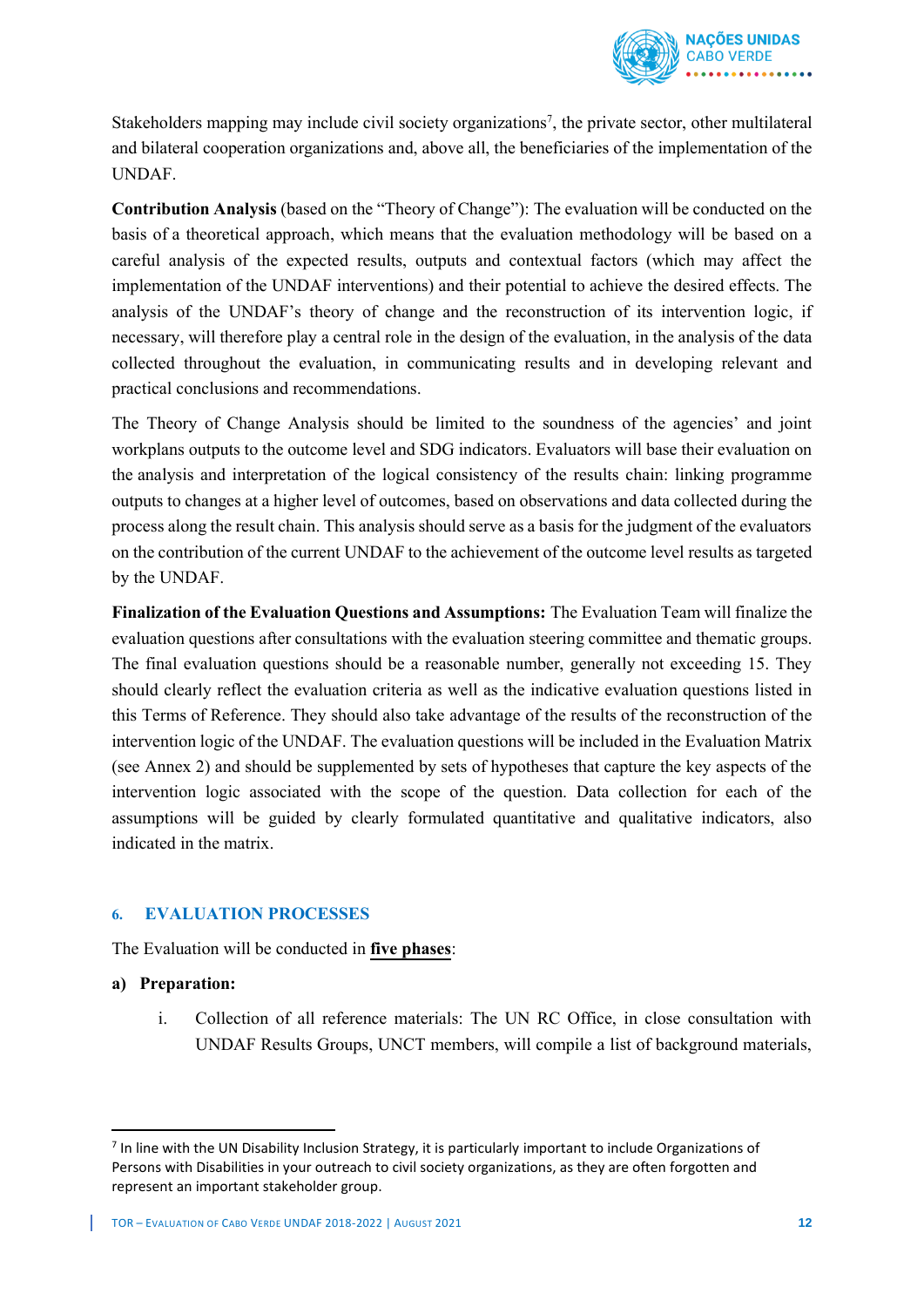

Stakeholders mapping may include civil society organizations<sup>7</sup>, the private sector, other multilateral and bilateral cooperation organizations and, above all, the beneficiaries of the implementation of the UNDAF.

**Contribution Analysis** (based on the "Theory of Change"): The evaluation will be conducted on the basis of a theoretical approach, which means that the evaluation methodology will be based on a careful analysis of the expected results, outputs and contextual factors (which may affect the implementation of the UNDAF interventions) and their potential to achieve the desired effects. The analysis of the UNDAF's theory of change and the reconstruction of its intervention logic, if necessary, will therefore play a central role in the design of the evaluation, in the analysis of the data collected throughout the evaluation, in communicating results and in developing relevant and practical conclusions and recommendations.

The Theory of Change Analysis should be limited to the soundness of the agencies' and joint workplans outputs to the outcome level and SDG indicators. Evaluators will base their evaluation on the analysis and interpretation of the logical consistency of the results chain: linking programme outputs to changes at a higher level of outcomes, based on observations and data collected during the process along the result chain. This analysis should serve as a basis for the judgment of the evaluators on the contribution of the current UNDAF to the achievement of the outcome level results as targeted by the UNDAF.

**Finalization of the Evaluation Questions and Assumptions:** The Evaluation Team will finalize the evaluation questions after consultations with the evaluation steering committee and thematic groups. The final evaluation questions should be a reasonable number, generally not exceeding 15. They should clearly reflect the evaluation criteria as well as the indicative evaluation questions listed in this Terms of Reference. They should also take advantage of the results of the reconstruction of the intervention logic of the UNDAF. The evaluation questions will be included in the Evaluation Matrix (see Annex 2) and should be supplemented by sets of hypotheses that capture the key aspects of the intervention logic associated with the scope of the question. Data collection for each of the assumptions will be guided by clearly formulated quantitative and qualitative indicators, also indicated in the matrix.

#### **6. EVALUATION PROCESSES**

The Evaluation will be conducted in **five phases**:

#### **a) Preparation:**

i. Collection of all reference materials: The UN RC Office, in close consultation with UNDAF Results Groups, UNCT members, will compile a list of background materials,

<sup>&</sup>lt;sup>7</sup> In line with the UN Disability Inclusion Strategy, it is particularly important to include Organizations of Persons with Disabilities in your outreach to civil society organizations, as they are often forgotten and represent an important stakeholder group.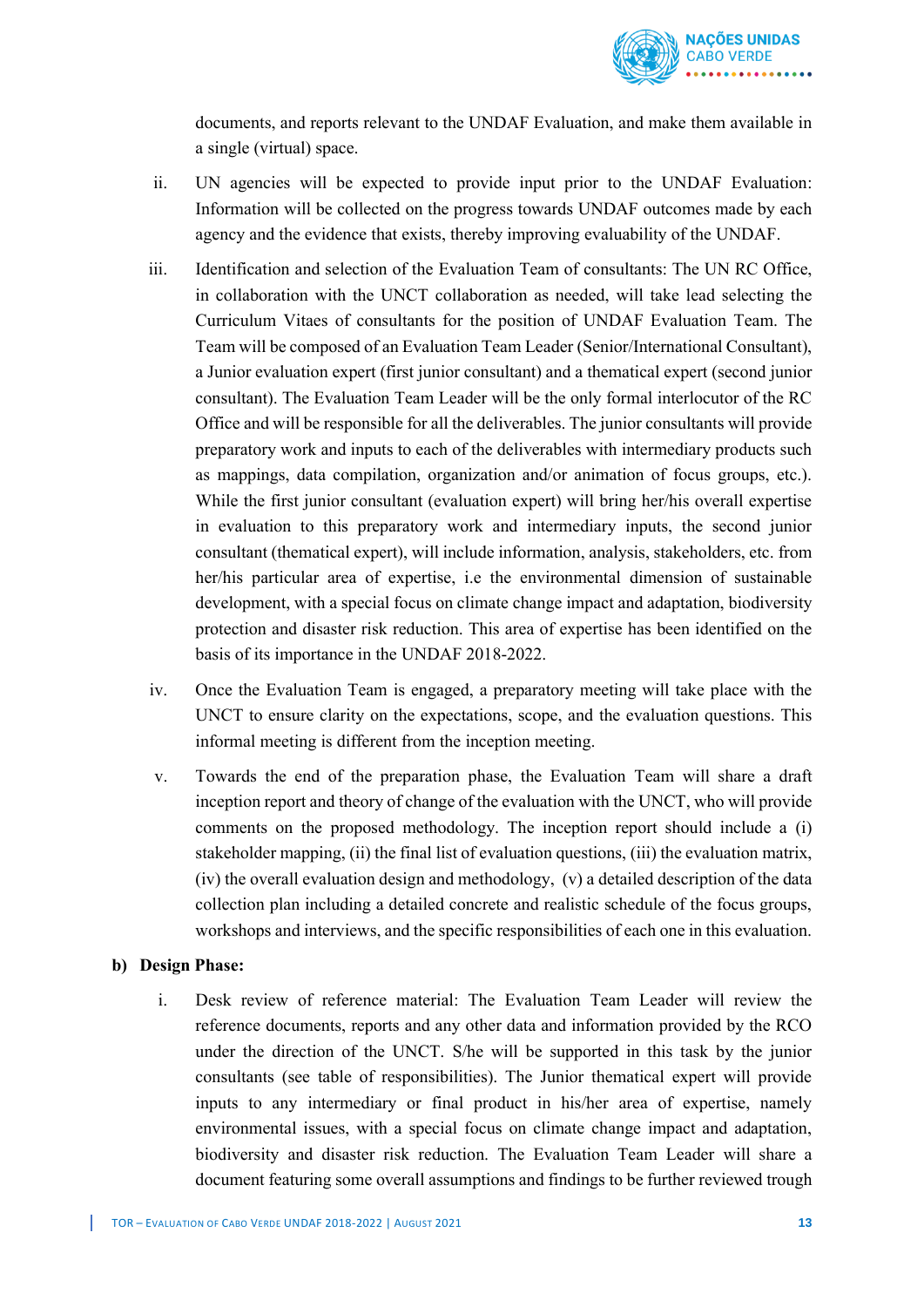

documents, and reports relevant to the UNDAF Evaluation, and make them available in a single (virtual) space.

- ii. UN agencies will be expected to provide input prior to the UNDAF Evaluation: Information will be collected on the progress towards UNDAF outcomes made by each agency and the evidence that exists, thereby improving evaluability of the UNDAF.
- iii. Identification and selection of the Evaluation Team of consultants: The UN RC Office, in collaboration with the UNCT collaboration as needed, will take lead selecting the Curriculum Vitaes of consultants for the position of UNDAF Evaluation Team. The Team will be composed of an Evaluation Team Leader (Senior/International Consultant), a Junior evaluation expert (first junior consultant) and a thematical expert (second junior consultant). The Evaluation Team Leader will be the only formal interlocutor of the RC Office and will be responsible for all the deliverables. The junior consultants will provide preparatory work and inputs to each of the deliverables with intermediary products such as mappings, data compilation, organization and/or animation of focus groups, etc.). While the first junior consultant (evaluation expert) will bring her/his overall expertise in evaluation to this preparatory work and intermediary inputs, the second junior consultant (thematical expert), will include information, analysis, stakeholders, etc. from her/his particular area of expertise, i.e the environmental dimension of sustainable development, with a special focus on climate change impact and adaptation, biodiversity protection and disaster risk reduction. This area of expertise has been identified on the basis of its importance in the UNDAF 2018-2022.
- iv. Once the Evaluation Team is engaged, a preparatory meeting will take place with the UNCT to ensure clarity on the expectations, scope, and the evaluation questions. This informal meeting is different from the inception meeting.
- v. Towards the end of the preparation phase, the Evaluation Team will share a draft inception report and theory of change of the evaluation with the UNCT, who will provide comments on the proposed methodology. The inception report should include a (i) stakeholder mapping, (ii) the final list of evaluation questions, (iii) the evaluation matrix, (iv) the overall evaluation design and methodology, (v) a detailed description of the data collection plan including a detailed concrete and realistic schedule of the focus groups, workshops and interviews, and the specific responsibilities of each one in this evaluation.

#### **b) Design Phase:**

i. Desk review of reference material: The Evaluation Team Leader will review the reference documents, reports and any other data and information provided by the RCO under the direction of the UNCT. S/he will be supported in this task by the junior consultants (see table of responsibilities). The Junior thematical expert will provide inputs to any intermediary or final product in his/her area of expertise, namely environmental issues, with a special focus on climate change impact and adaptation, biodiversity and disaster risk reduction. The Evaluation Team Leader will share a document featuring some overall assumptions and findings to be further reviewed trough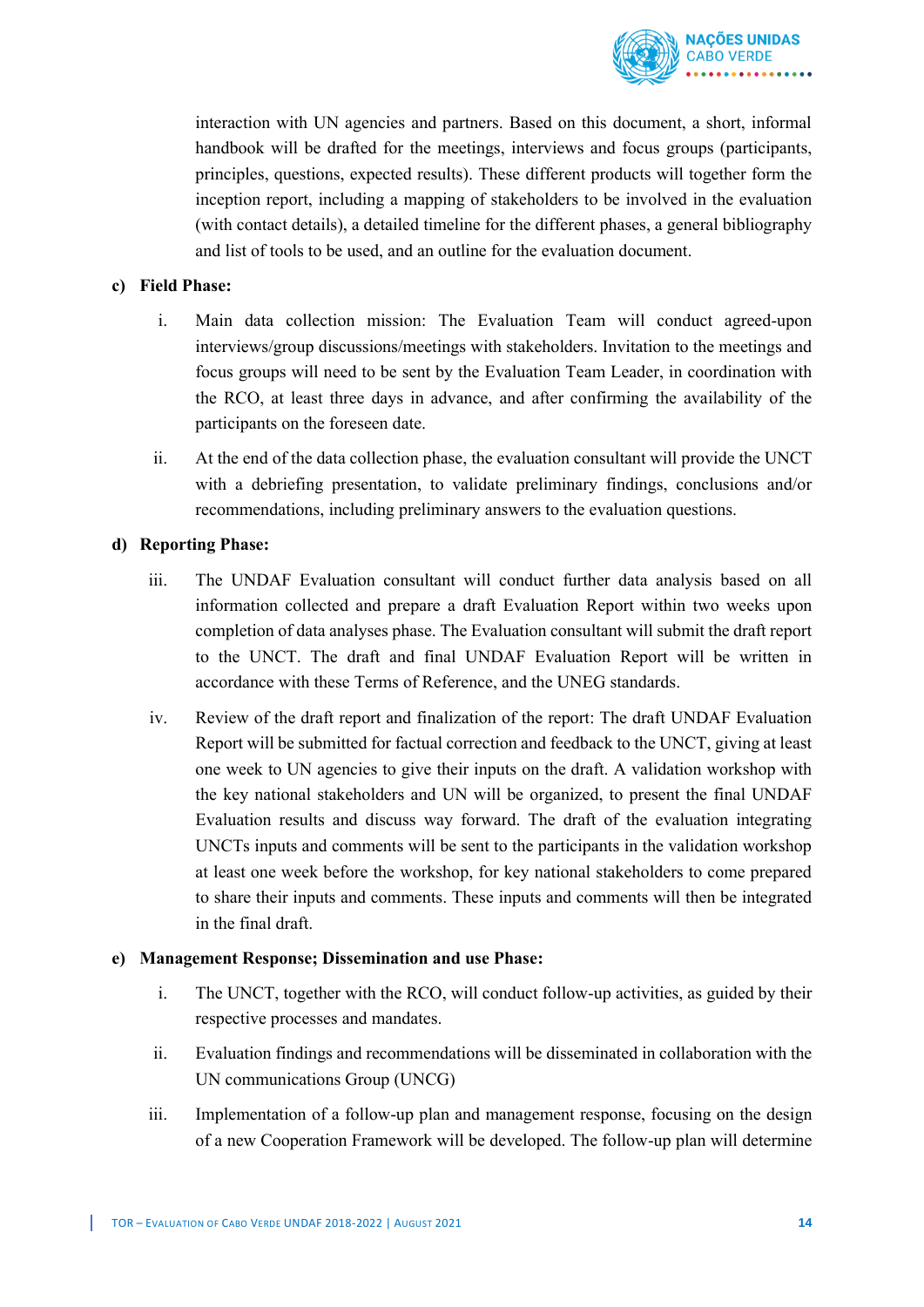

interaction with UN agencies and partners. Based on this document, a short, informal handbook will be drafted for the meetings, interviews and focus groups (participants, principles, questions, expected results). These different products will together form the inception report, including a mapping of stakeholders to be involved in the evaluation (with contact details), a detailed timeline for the different phases, a general bibliography and list of tools to be used, and an outline for the evaluation document.

#### **c) Field Phase:**

- i. Main data collection mission: The Evaluation Team will conduct agreed-upon interviews/group discussions/meetings with stakeholders. Invitation to the meetings and focus groups will need to be sent by the Evaluation Team Leader, in coordination with the RCO, at least three days in advance, and after confirming the availability of the participants on the foreseen date.
- ii. At the end of the data collection phase, the evaluation consultant will provide the UNCT with a debriefing presentation, to validate preliminary findings, conclusions and/or recommendations, including preliminary answers to the evaluation questions.

#### **d) Reporting Phase:**

- iii. The UNDAF Evaluation consultant will conduct further data analysis based on all information collected and prepare a draft Evaluation Report within two weeks upon completion of data analyses phase. The Evaluation consultant will submit the draft report to the UNCT. The draft and final UNDAF Evaluation Report will be written in accordance with these Terms of Reference, and the UNEG standards.
- iv. Review of the draft report and finalization of the report: The draft UNDAF Evaluation Report will be submitted for factual correction and feedback to the UNCT, giving at least one week to UN agencies to give their inputs on the draft. A validation workshop with the key national stakeholders and UN will be organized, to present the final UNDAF Evaluation results and discuss way forward. The draft of the evaluation integrating UNCTs inputs and comments will be sent to the participants in the validation workshop at least one week before the workshop, for key national stakeholders to come prepared to share their inputs and comments. These inputs and comments will then be integrated in the final draft.

#### **e) Management Response; Dissemination and use Phase:**

- i. The UNCT, together with the RCO, will conduct follow-up activities, as guided by their respective processes and mandates.
- ii. Evaluation findings and recommendations will be disseminated in collaboration with the UN communications Group (UNCG)
- iii. Implementation of a follow-up plan and management response, focusing on the design of a new Cooperation Framework will be developed. The follow-up plan will determine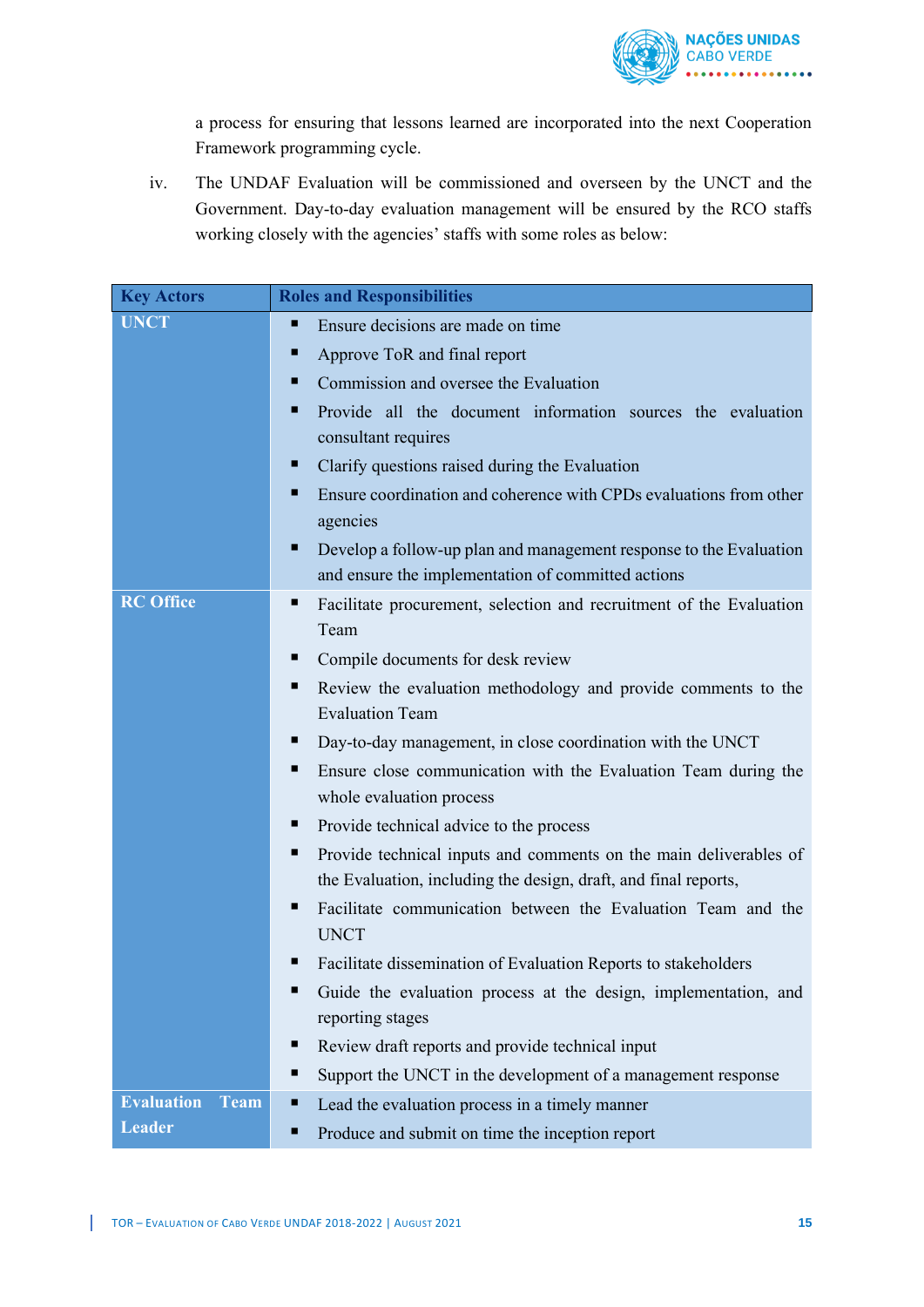

a process for ensuring that lessons learned are incorporated into the next Cooperation Framework programming cycle.

iv. The UNDAF Evaluation will be commissioned and overseen by the UNCT and the Government. Day-to-day evaluation management will be ensured by the RCO staffs working closely with the agencies' staffs with some roles as below:

| <b>Key Actors</b>         | <b>Roles and Responsibilities</b>                                                                                                         |  |  |  |  |
|---------------------------|-------------------------------------------------------------------------------------------------------------------------------------------|--|--|--|--|
| <b>UNCT</b>               | Ensure decisions are made on time<br>■                                                                                                    |  |  |  |  |
|                           | Approve ToR and final report<br>п                                                                                                         |  |  |  |  |
|                           | Commission and oversee the Evaluation<br>п                                                                                                |  |  |  |  |
|                           | Provide all the document information sources the evaluation<br>п<br>consultant requires                                                   |  |  |  |  |
|                           | Clarify questions raised during the Evaluation<br>ш                                                                                       |  |  |  |  |
|                           | Ensure coordination and coherence with CPDs evaluations from other<br>п<br>agencies                                                       |  |  |  |  |
|                           | Develop a follow-up plan and management response to the Evaluation<br>■                                                                   |  |  |  |  |
|                           | and ensure the implementation of committed actions                                                                                        |  |  |  |  |
| <b>RC</b> Office          | Facilitate procurement, selection and recruitment of the Evaluation<br>п<br>Team                                                          |  |  |  |  |
|                           | Compile documents for desk review<br>п                                                                                                    |  |  |  |  |
|                           | п<br>Review the evaluation methodology and provide comments to the<br><b>Evaluation Team</b>                                              |  |  |  |  |
|                           | Day-to-day management, in close coordination with the UNCT<br>п                                                                           |  |  |  |  |
|                           | Ensure close communication with the Evaluation Team during the<br>п<br>whole evaluation process                                           |  |  |  |  |
|                           | Provide technical advice to the process                                                                                                   |  |  |  |  |
|                           | Provide technical inputs and comments on the main deliverables of<br>п<br>the Evaluation, including the design, draft, and final reports, |  |  |  |  |
|                           | Facilitate communication between the Evaluation Team and the<br>п<br><b>UNCT</b>                                                          |  |  |  |  |
|                           | Facilitate dissemination of Evaluation Reports to stakeholders                                                                            |  |  |  |  |
|                           | Guide the evaluation process at the design, implementation, and<br>■<br>reporting stages                                                  |  |  |  |  |
|                           | Review draft reports and provide technical input<br>п                                                                                     |  |  |  |  |
|                           | Support the UNCT in the development of a management response<br>п                                                                         |  |  |  |  |
| <b>Evaluation</b><br>Team | Lead the evaluation process in a timely manner<br>п                                                                                       |  |  |  |  |
| <b>Leader</b>             | Produce and submit on time the inception report<br>п                                                                                      |  |  |  |  |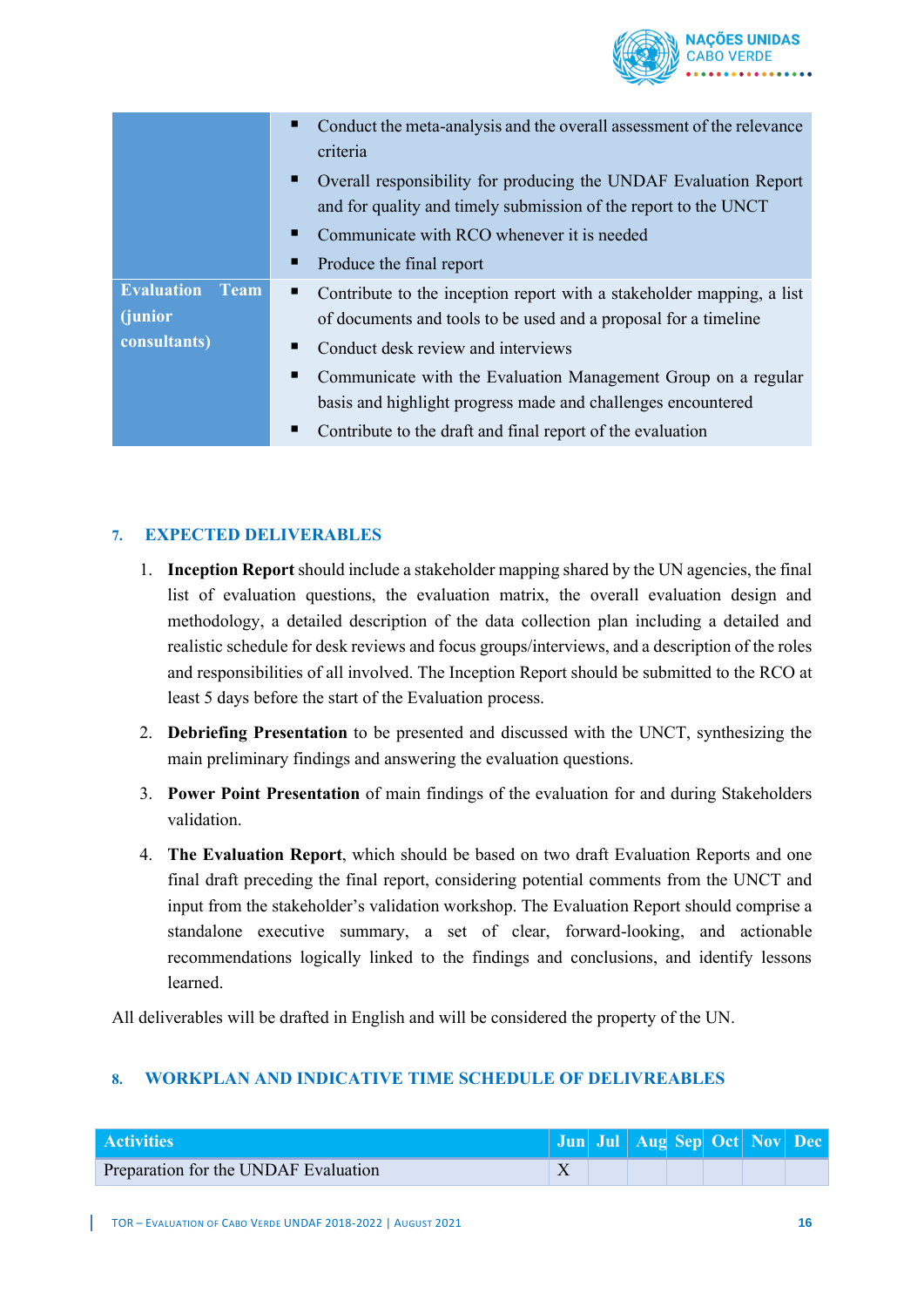

|                                                                     | Conduct the meta-analysis and the overall assessment of the relevance<br>п<br>criteria<br>Overall responsibility for producing the UNDAF Evaluation Report<br>п.<br>and for quality and timely submission of the report to the UNCT<br>Communicate with RCO whenever it is needed<br>п                                                                                                            |
|---------------------------------------------------------------------|---------------------------------------------------------------------------------------------------------------------------------------------------------------------------------------------------------------------------------------------------------------------------------------------------------------------------------------------------------------------------------------------------|
|                                                                     | Produce the final report                                                                                                                                                                                                                                                                                                                                                                          |
| <b>Evaluation</b><br><b>Team</b><br><i>(junior)</i><br>consultants) | Contribute to the inception report with a stakeholder mapping, a list<br>п<br>of documents and tools to be used and a proposal for a timeline<br>Conduct desk review and interviews<br>п<br>Communicate with the Evaluation Management Group on a regular<br>п<br>basis and highlight progress made and challenges encountered<br>Contribute to the draft and final report of the evaluation<br>п |

## **7. EXPECTED DELIVERABLES**

- 1. **Inception Report** should include a stakeholder mapping shared by the UN agencies, the final list of evaluation questions, the evaluation matrix, the overall evaluation design and methodology, a detailed description of the data collection plan including a detailed and realistic schedule for desk reviews and focus groups/interviews, and a description of the roles and responsibilities of all involved. The Inception Report should be submitted to the RCO at least 5 days before the start of the Evaluation process.
- 2. **Debriefing Presentation** to be presented and discussed with the UNCT, synthesizing the main preliminary findings and answering the evaluation questions.
- 3. **Power Point Presentation** of main findings of the evaluation for and during Stakeholders validation.
- 4. **The Evaluation Report**, which should be based on two draft Evaluation Reports and one final draft preceding the final report, considering potential comments from the UNCT and input from the stakeholder's validation workshop. The Evaluation Report should comprise a standalone executive summary, a set of clear, forward-looking, and actionable recommendations logically linked to the findings and conclusions, and identify lessons learned.

All deliverables will be drafted in English and will be considered the property of the UN.

## **8. WORKPLAN AND INDICATIVE TIME SCHEDULE OF DELIVREABLES**

| <b>Activities</b>                    |  |  | Jun  Jul   Aug Sep  Oct   Nov   Dec |  |
|--------------------------------------|--|--|-------------------------------------|--|
| Preparation for the UNDAF Evaluation |  |  |                                     |  |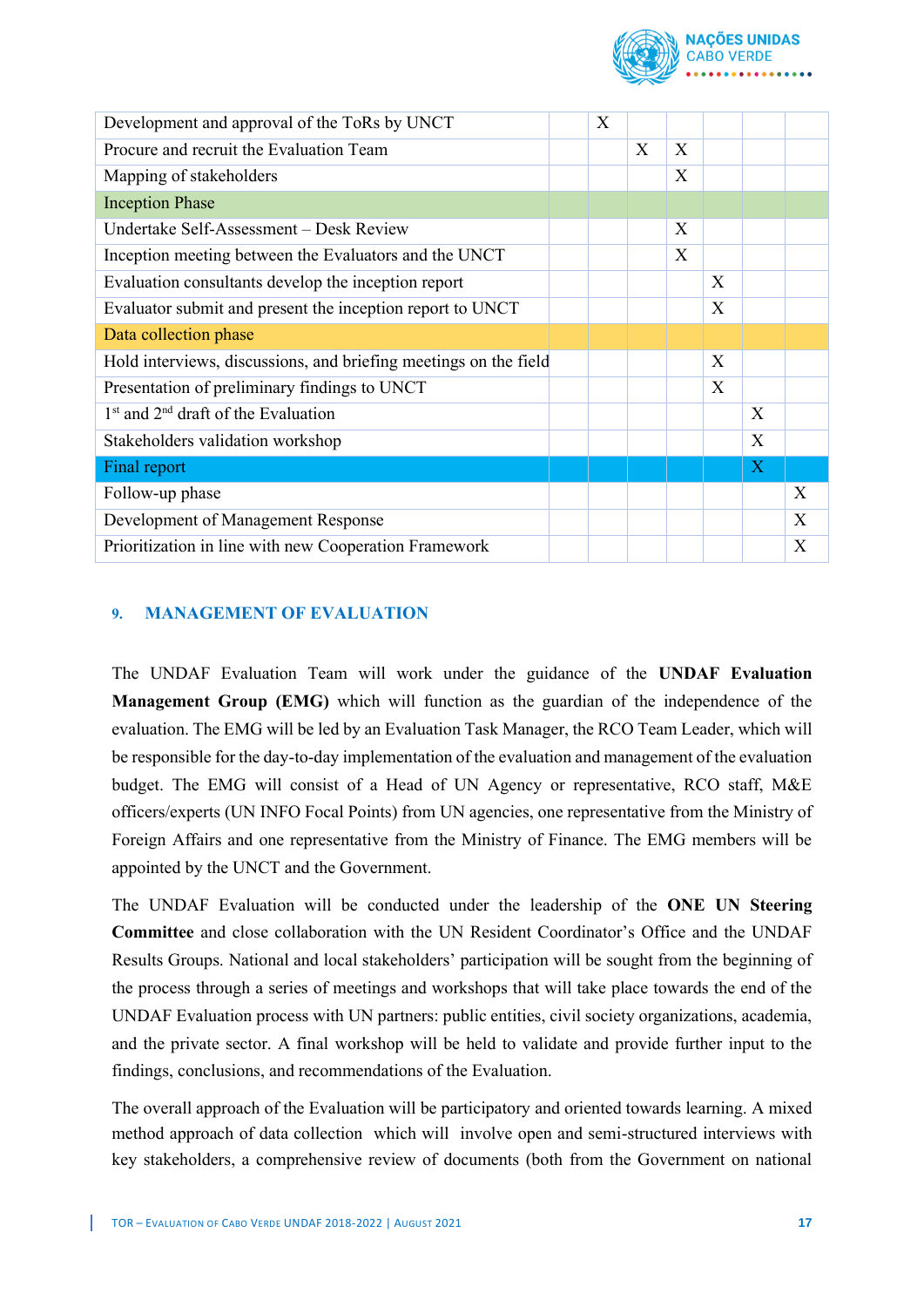

| Development and approval of the ToRs by UNCT                     | X |   |   |   |   |   |
|------------------------------------------------------------------|---|---|---|---|---|---|
| Procure and recruit the Evaluation Team                          |   | X | X |   |   |   |
| Mapping of stakeholders                                          |   |   | X |   |   |   |
| <b>Inception Phase</b>                                           |   |   |   |   |   |   |
| Undertake Self-Assessment – Desk Review                          |   |   | X |   |   |   |
| Inception meeting between the Evaluators and the UNCT            |   |   | X |   |   |   |
| Evaluation consultants develop the inception report              |   |   |   | X |   |   |
| Evaluator submit and present the inception report to UNCT        |   |   |   | X |   |   |
| Data collection phase                                            |   |   |   |   |   |   |
| Hold interviews, discussions, and briefing meetings on the field |   |   |   | X |   |   |
| Presentation of preliminary findings to UNCT                     |   |   |   | X |   |   |
| $1st$ and $2nd$ draft of the Evaluation                          |   |   |   |   | X |   |
| Stakeholders validation workshop                                 |   |   |   |   | X |   |
| Final report                                                     |   |   |   |   | X |   |
| Follow-up phase                                                  |   |   |   |   |   | X |
| Development of Management Response                               |   |   |   |   |   | X |
| Prioritization in line with new Cooperation Framework            |   |   |   |   |   | X |

#### **9. MANAGEMENT OF EVALUATION**

The UNDAF Evaluation Team will work under the guidance of the **UNDAF Evaluation Management Group (EMG)** which will function as the guardian of the independence of the evaluation. The EMG will be led by an Evaluation Task Manager, the RCO Team Leader, which will be responsible for the day-to-day implementation of the evaluation and management of the evaluation budget. The EMG will consist of a Head of UN Agency or representative, RCO staff, M&E officers/experts (UN INFO Focal Points) from UN agencies, one representative from the Ministry of Foreign Affairs and one representative from the Ministry of Finance. The EMG members will be appointed by the UNCT and the Government.

The UNDAF Evaluation will be conducted under the leadership of the **ONE UN Steering Committee** and close collaboration with the UN Resident Coordinator's Office and the UNDAF Results Groups. National and local stakeholders' participation will be sought from the beginning of the process through a series of meetings and workshops that will take place towards the end of the UNDAF Evaluation process with UN partners: public entities, civil society organizations, academia, and the private sector. A final workshop will be held to validate and provide further input to the findings, conclusions, and recommendations of the Evaluation.

The overall approach of the Evaluation will be participatory and oriented towards learning. A mixed method approach of data collection which will involve open and semi-structured interviews with key stakeholders, a comprehensive review of documents (both from the Government on national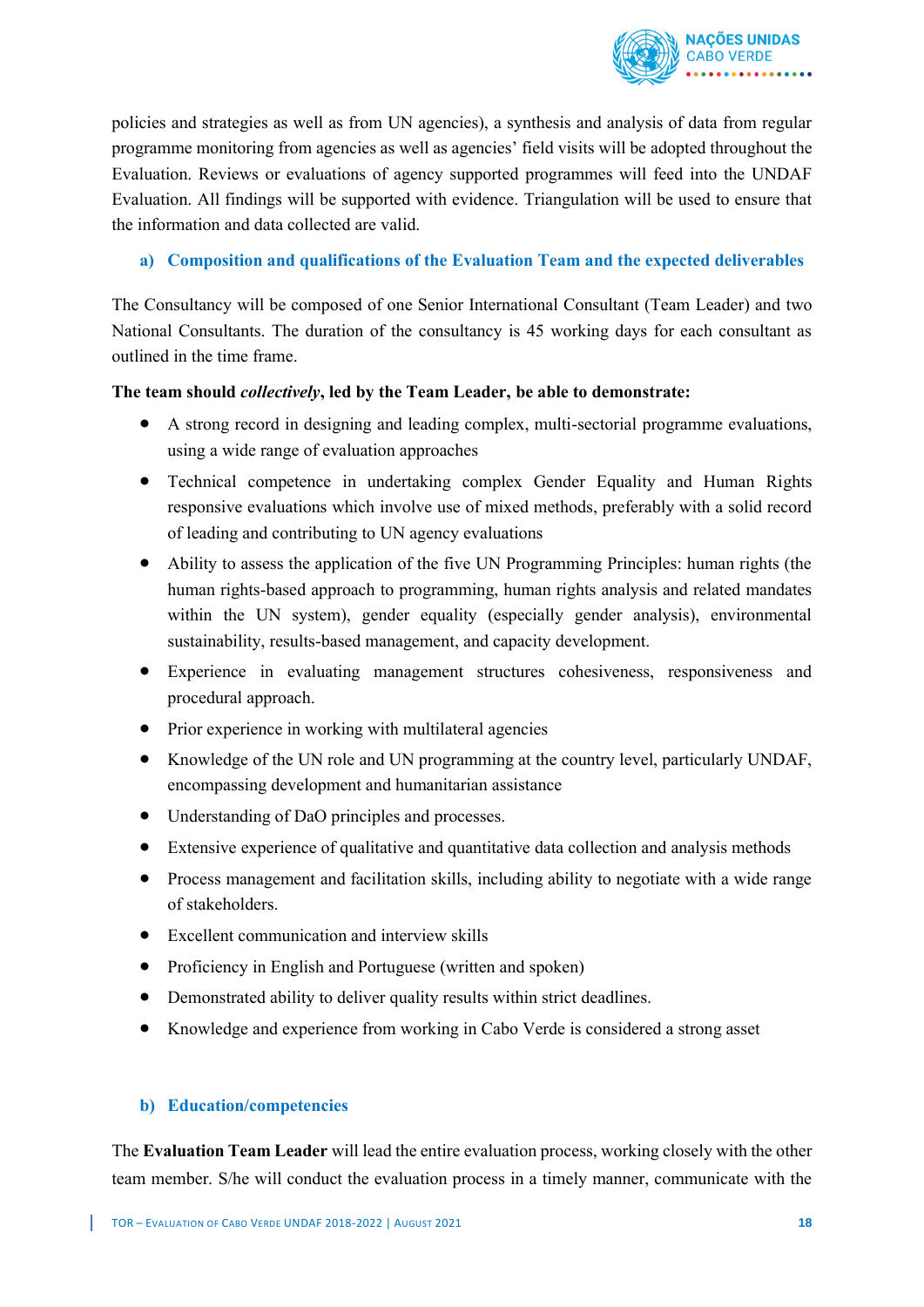

policies and strategies as well as from UN agencies), a synthesis and analysis of data from regular programme monitoring from agencies as well as agencies' field visits will be adopted throughout the Evaluation. Reviews or evaluations of agency supported programmes will feed into the UNDAF Evaluation. All findings will be supported with evidence. Triangulation will be used to ensure that the information and data collected are valid.

## **a) Composition and qualifications of the Evaluation Team and the expected deliverables**

The Consultancy will be composed of one Senior International Consultant (Team Leader) and two National Consultants. The duration of the consultancy is 45 working days for each consultant as outlined in the time frame.

#### **The team should** *collectively***, led by the Team Leader, be able to demonstrate:**

- A strong record in designing and leading complex, multi-sectorial programme evaluations, using a wide range of evaluation approaches
- Technical competence in undertaking complex Gender Equality and Human Rights responsive evaluations which involve use of mixed methods, preferably with a solid record of leading and contributing to UN agency evaluations
- Ability to assess the application of the five UN Programming Principles: human rights (the human rights-based approach to programming, human rights analysis and related mandates within the UN system), gender equality (especially gender analysis), environmental sustainability, results-based management, and capacity development.
- Experience in evaluating management structures cohesiveness, responsiveness and procedural approach.
- Prior experience in working with multilateral agencies
- Knowledge of the UN role and UN programming at the country level, particularly UNDAF, encompassing development and humanitarian assistance
- Understanding of DaO principles and processes.
- Extensive experience of qualitative and quantitative data collection and analysis methods
- Process management and facilitation skills, including ability to negotiate with a wide range of stakeholders.
- Excellent communication and interview skills
- Proficiency in English and Portuguese (written and spoken)
- Demonstrated ability to deliver quality results within strict deadlines.
- Knowledge and experience from working in Cabo Verde is considered a strong asset

#### **b) Education/competencies**

The **Evaluation Team Leader** will lead the entire evaluation process, working closely with the other team member. S/he will conduct the evaluation process in a timely manner, communicate with the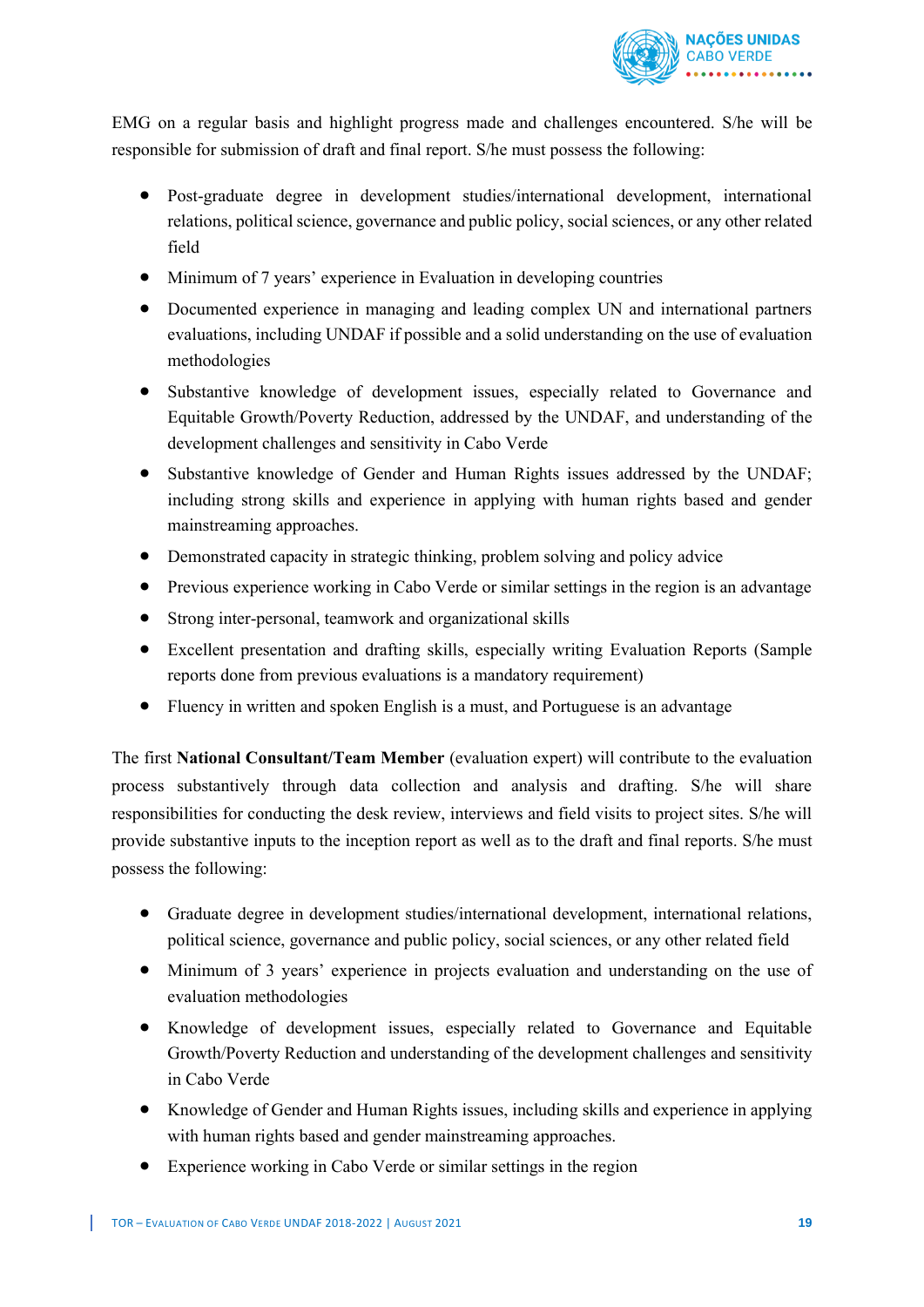

EMG on a regular basis and highlight progress made and challenges encountered. S/he will be responsible for submission of draft and final report. S/he must possess the following:

- Post-graduate degree in development studies/international development, international relations, political science, governance and public policy, social sciences, or any other related field
- Minimum of 7 years' experience in Evaluation in developing countries
- Documented experience in managing and leading complex UN and international partners evaluations, including UNDAF if possible and a solid understanding on the use of evaluation methodologies
- Substantive knowledge of development issues, especially related to Governance and Equitable Growth/Poverty Reduction, addressed by the UNDAF, and understanding of the development challenges and sensitivity in Cabo Verde
- Substantive knowledge of Gender and Human Rights issues addressed by the UNDAF; including strong skills and experience in applying with human rights based and gender mainstreaming approaches.
- Demonstrated capacity in strategic thinking, problem solving and policy advice
- Previous experience working in Cabo Verde or similar settings in the region is an advantage
- Strong inter-personal, teamwork and organizational skills
- Excellent presentation and drafting skills, especially writing Evaluation Reports (Sample reports done from previous evaluations is a mandatory requirement)
- Fluency in written and spoken English is a must, and Portuguese is an advantage

The first **National Consultant/Team Member** (evaluation expert) will contribute to the evaluation process substantively through data collection and analysis and drafting. S/he will share responsibilities for conducting the desk review, interviews and field visits to project sites. S/he will provide substantive inputs to the inception report as well as to the draft and final reports. S/he must possess the following:

- Graduate degree in development studies/international development, international relations, political science, governance and public policy, social sciences, or any other related field
- Minimum of 3 years' experience in projects evaluation and understanding on the use of evaluation methodologies
- Knowledge of development issues, especially related to Governance and Equitable Growth/Poverty Reduction and understanding of the development challenges and sensitivity in Cabo Verde
- Knowledge of Gender and Human Rights issues, including skills and experience in applying with human rights based and gender mainstreaming approaches.
- Experience working in Cabo Verde or similar settings in the region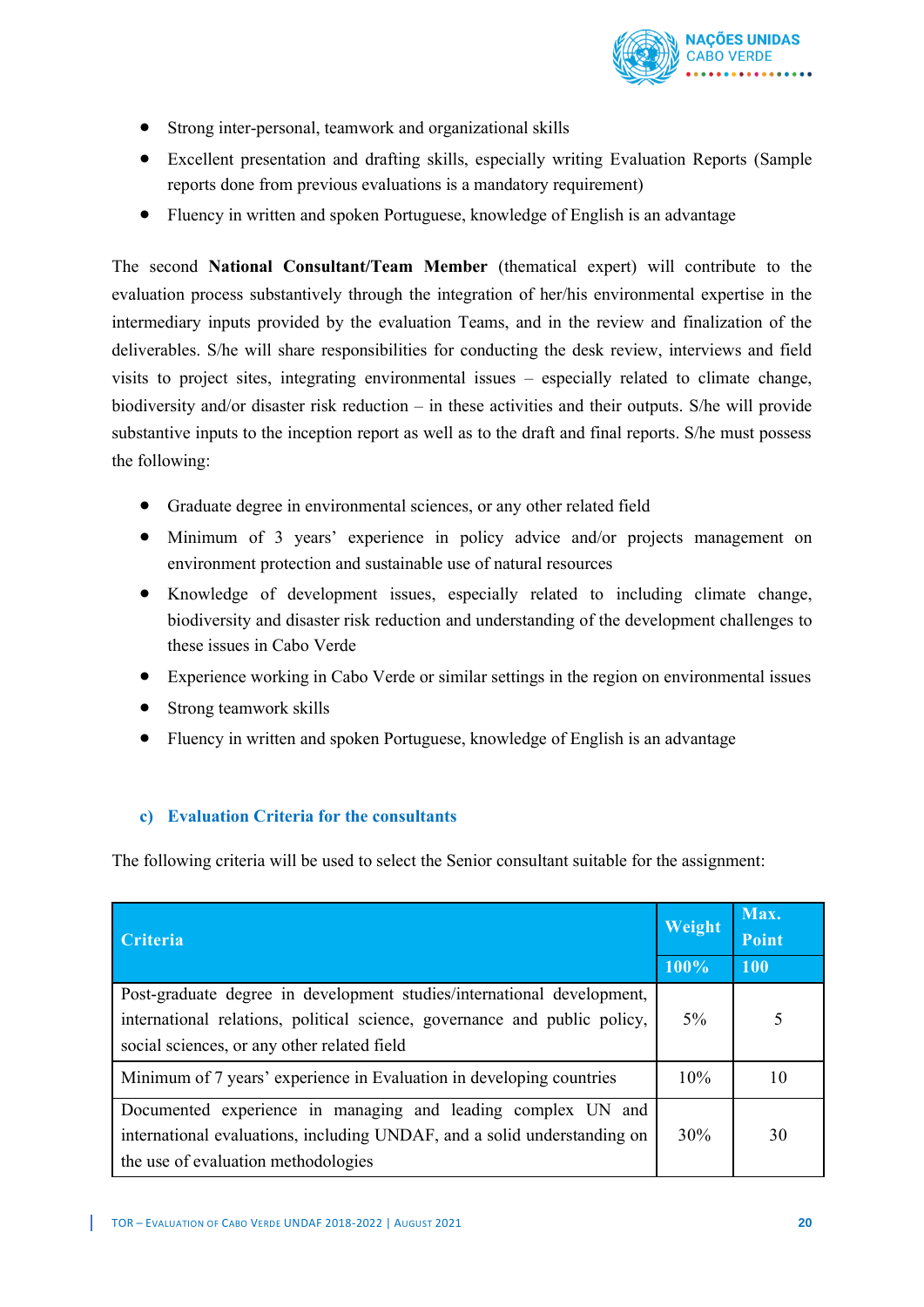

- Strong inter-personal, teamwork and organizational skills
- Excellent presentation and drafting skills, especially writing Evaluation Reports (Sample reports done from previous evaluations is a mandatory requirement)
- Fluency in written and spoken Portuguese, knowledge of English is an advantage

The second **National Consultant/Team Member** (thematical expert) will contribute to the evaluation process substantively through the integration of her/his environmental expertise in the intermediary inputs provided by the evaluation Teams, and in the review and finalization of the deliverables. S/he will share responsibilities for conducting the desk review, interviews and field visits to project sites, integrating environmental issues – especially related to climate change, biodiversity and/or disaster risk reduction – in these activities and their outputs. S/he will provide substantive inputs to the inception report as well as to the draft and final reports. S/he must possess the following:

- Graduate degree in environmental sciences, or any other related field
- Minimum of 3 years' experience in policy advice and/or projects management on environment protection and sustainable use of natural resources
- Knowledge of development issues, especially related to including climate change, biodiversity and disaster risk reduction and understanding of the development challenges to these issues in Cabo Verde
- Experience working in Cabo Verde or similar settings in the region on environmental issues
- Strong teamwork skills
- Fluency in written and spoken Portuguese, knowledge of English is an advantage

#### **c) Evaluation Criteria for the consultants**

The following criteria will be used to select the Senior consultant suitable for the assignment:

| Criteria                                                                                                                                                                                           | Weight | Max.<br><b>Point</b> |
|----------------------------------------------------------------------------------------------------------------------------------------------------------------------------------------------------|--------|----------------------|
|                                                                                                                                                                                                    | 100%   | <b>100</b>           |
| Post-graduate degree in development studies/international development,<br>international relations, political science, governance and public policy,<br>social sciences, or any other related field | $5\%$  |                      |
| Minimum of 7 years' experience in Evaluation in developing countries                                                                                                                               | 10%    | 10                   |
| Documented experience in managing and leading complex UN and<br>international evaluations, including UNDAF, and a solid understanding on<br>the use of evaluation methodologies                    | 30%    | 30                   |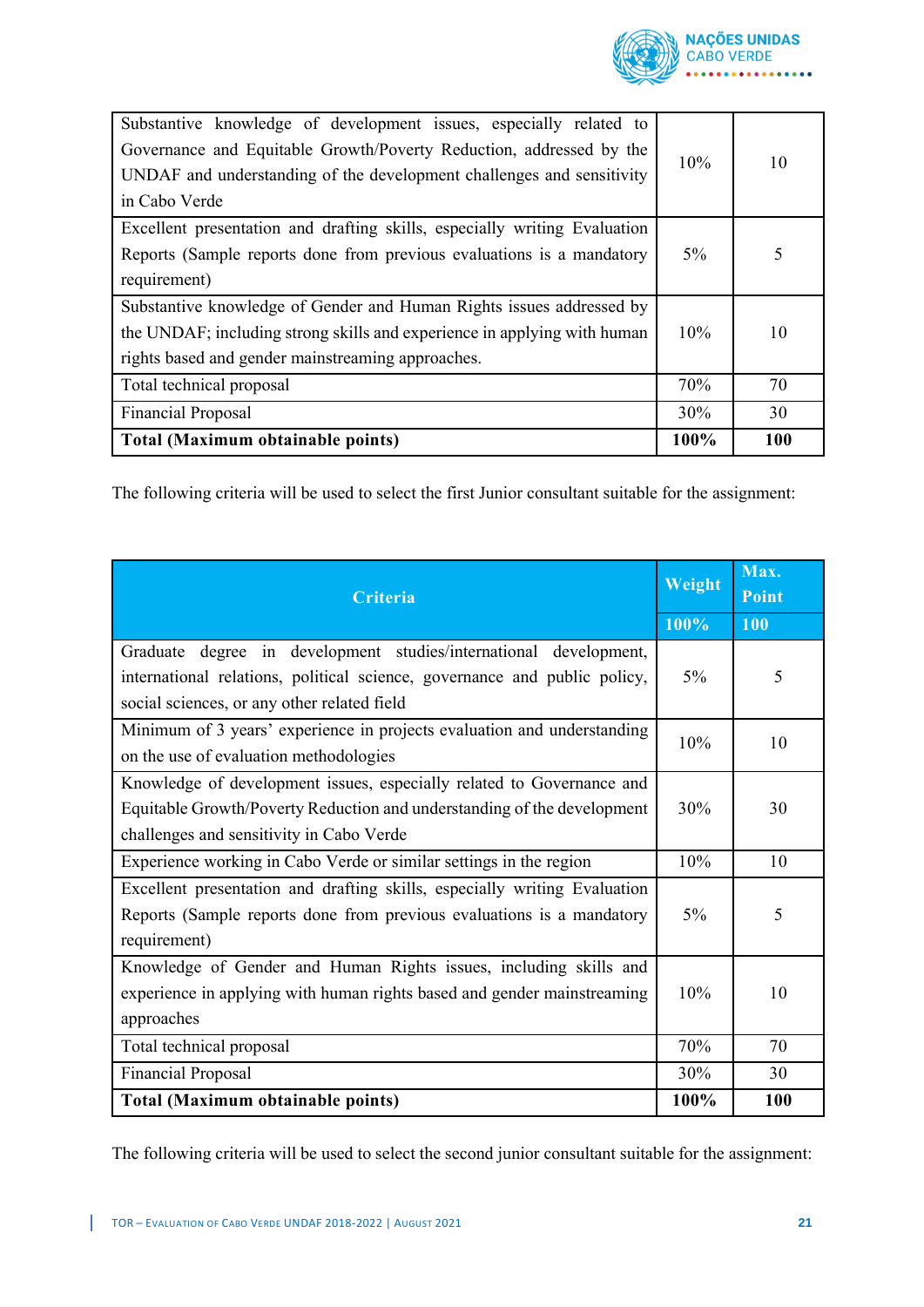

| Substantive knowledge of development issues, especially related to<br>Governance and Equitable Growth/Poverty Reduction, addressed by the<br>UNDAF and understanding of the development challenges and sensitivity<br>in Cabo Verde | 10%    | 10  |
|-------------------------------------------------------------------------------------------------------------------------------------------------------------------------------------------------------------------------------------|--------|-----|
| Excellent presentation and drafting skills, especially writing Evaluation<br>Reports (Sample reports done from previous evaluations is a mandatory<br>requirement)                                                                  | $5\%$  | 5   |
| Substantive knowledge of Gender and Human Rights issues addressed by<br>the UNDAF; including strong skills and experience in applying with human<br>rights based and gender mainstreaming approaches.                               | $10\%$ | 10  |
| Total technical proposal                                                                                                                                                                                                            | 70%    | 70  |
| Financial Proposal                                                                                                                                                                                                                  |        | 30  |
| Total (Maximum obtainable points)                                                                                                                                                                                                   | 100%   | 100 |

The following criteria will be used to select the first Junior consultant suitable for the assignment:

| <b>Criteria</b>                                                           |       | Max.<br><b>Point</b> |
|---------------------------------------------------------------------------|-------|----------------------|
|                                                                           | 100%  | 100                  |
| Graduate degree in development studies/international development,         |       |                      |
| international relations, political science, governance and public policy, | $5\%$ | 5                    |
| social sciences, or any other related field                               |       |                      |
| Minimum of 3 years' experience in projects evaluation and understanding   | 10%   | 10                   |
| on the use of evaluation methodologies                                    |       |                      |
| Knowledge of development issues, especially related to Governance and     |       |                      |
| Equitable Growth/Poverty Reduction and understanding of the development   | 30%   | 30                   |
| challenges and sensitivity in Cabo Verde                                  |       |                      |
| Experience working in Cabo Verde or similar settings in the region        | 10%   | 10                   |
| Excellent presentation and drafting skills, especially writing Evaluation |       |                      |
| Reports (Sample reports done from previous evaluations is a mandatory     | $5\%$ | 5                    |
| requirement)                                                              |       |                      |
| Knowledge of Gender and Human Rights issues, including skills and         |       |                      |
| experience in applying with human rights based and gender mainstreaming   | 10%   | 10                   |
| approaches                                                                |       |                      |
| Total technical proposal                                                  |       | 70                   |
| <b>Financial Proposal</b>                                                 | 30%   | 30                   |
| Total (Maximum obtainable points)                                         | 100%  | <b>100</b>           |

The following criteria will be used to select the second junior consultant suitable for the assignment:

I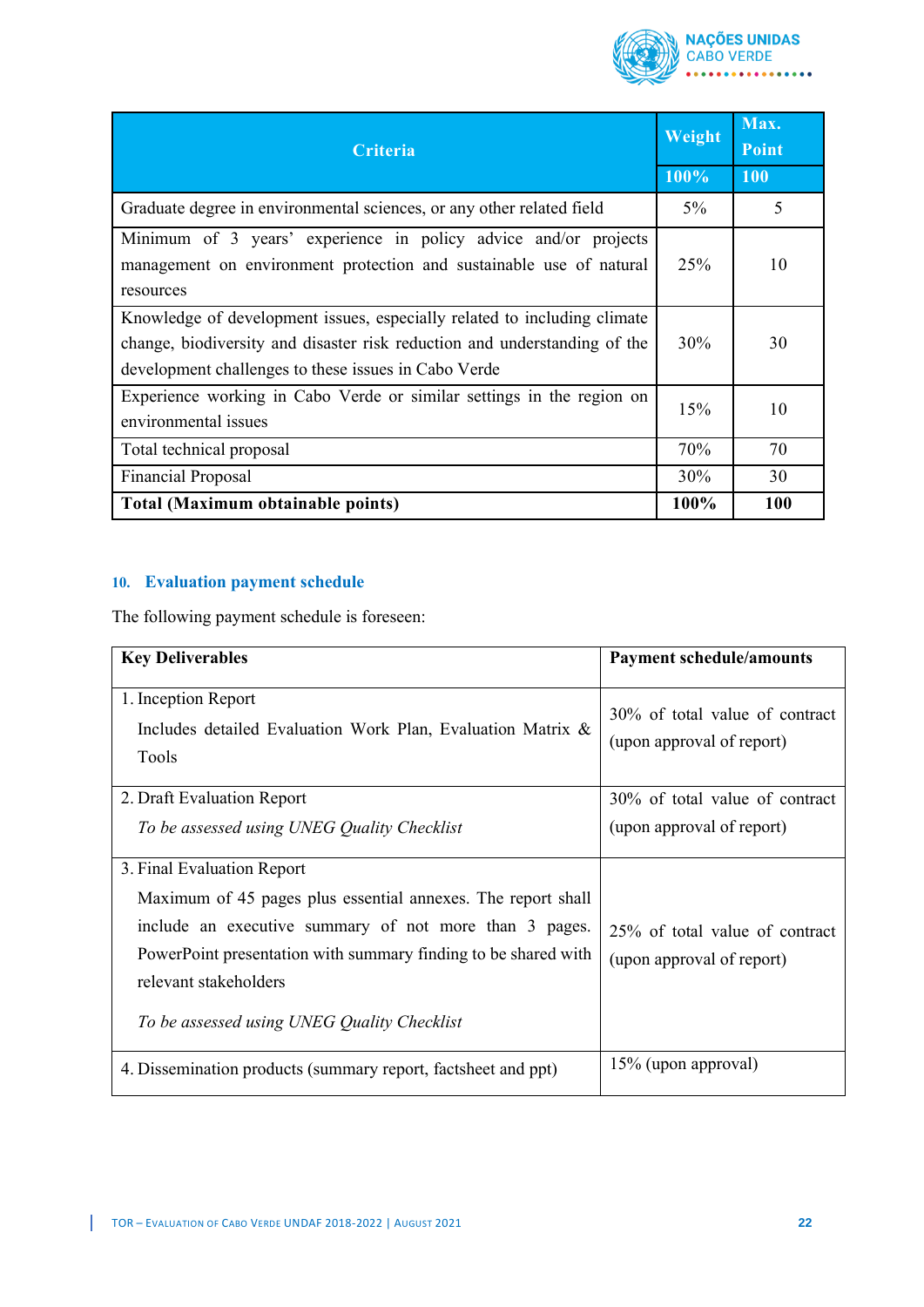

| Criteria                                                                                                                                                                                                      |       | Max.<br><b>Point</b> |
|---------------------------------------------------------------------------------------------------------------------------------------------------------------------------------------------------------------|-------|----------------------|
|                                                                                                                                                                                                               | 100%  | 100                  |
| Graduate degree in environmental sciences, or any other related field                                                                                                                                         | $5\%$ | 5                    |
| Minimum of 3 years' experience in policy advice and/or projects<br>management on environment protection and sustainable use of natural<br>resources                                                           | 25%   | 10                   |
| Knowledge of development issues, especially related to including climate<br>change, biodiversity and disaster risk reduction and understanding of the<br>development challenges to these issues in Cabo Verde | 30%   | 30                   |
| Experience working in Cabo Verde or similar settings in the region on<br>environmental issues                                                                                                                 | 15%   | 10                   |
| Total technical proposal                                                                                                                                                                                      | 70%   | 70                   |
| <b>Financial Proposal</b>                                                                                                                                                                                     |       | 30                   |
| <b>Total (Maximum obtainable points)</b>                                                                                                                                                                      | 100%  | 100                  |

# **10. Evaluation payment schedule**

The following payment schedule is foreseen:

| <b>Key Deliverables</b>                                                                                                                                                                                           | <b>Payment schedule/amounts</b>                             |
|-------------------------------------------------------------------------------------------------------------------------------------------------------------------------------------------------------------------|-------------------------------------------------------------|
| 1. Inception Report<br>Includes detailed Evaluation Work Plan, Evaluation Matrix &<br>Tools                                                                                                                       | 30% of total value of contract<br>(upon approval of report) |
| 2. Draft Evaluation Report                                                                                                                                                                                        | $30\%$ of total value of contract                           |
| To be assessed using UNEG Quality Checklist                                                                                                                                                                       | (upon approval of report)                                   |
| 3. Final Evaluation Report                                                                                                                                                                                        |                                                             |
| Maximum of 45 pages plus essential annexes. The report shall<br>include an executive summary of not more than 3 pages.<br>PowerPoint presentation with summary finding to be shared with<br>relevant stakeholders | 25% of total value of contract<br>(upon approval of report) |
| To be assessed using UNEG Quality Checklist                                                                                                                                                                       |                                                             |
| 4. Dissemination products (summary report, factsheet and ppt)                                                                                                                                                     | 15% (upon approval)                                         |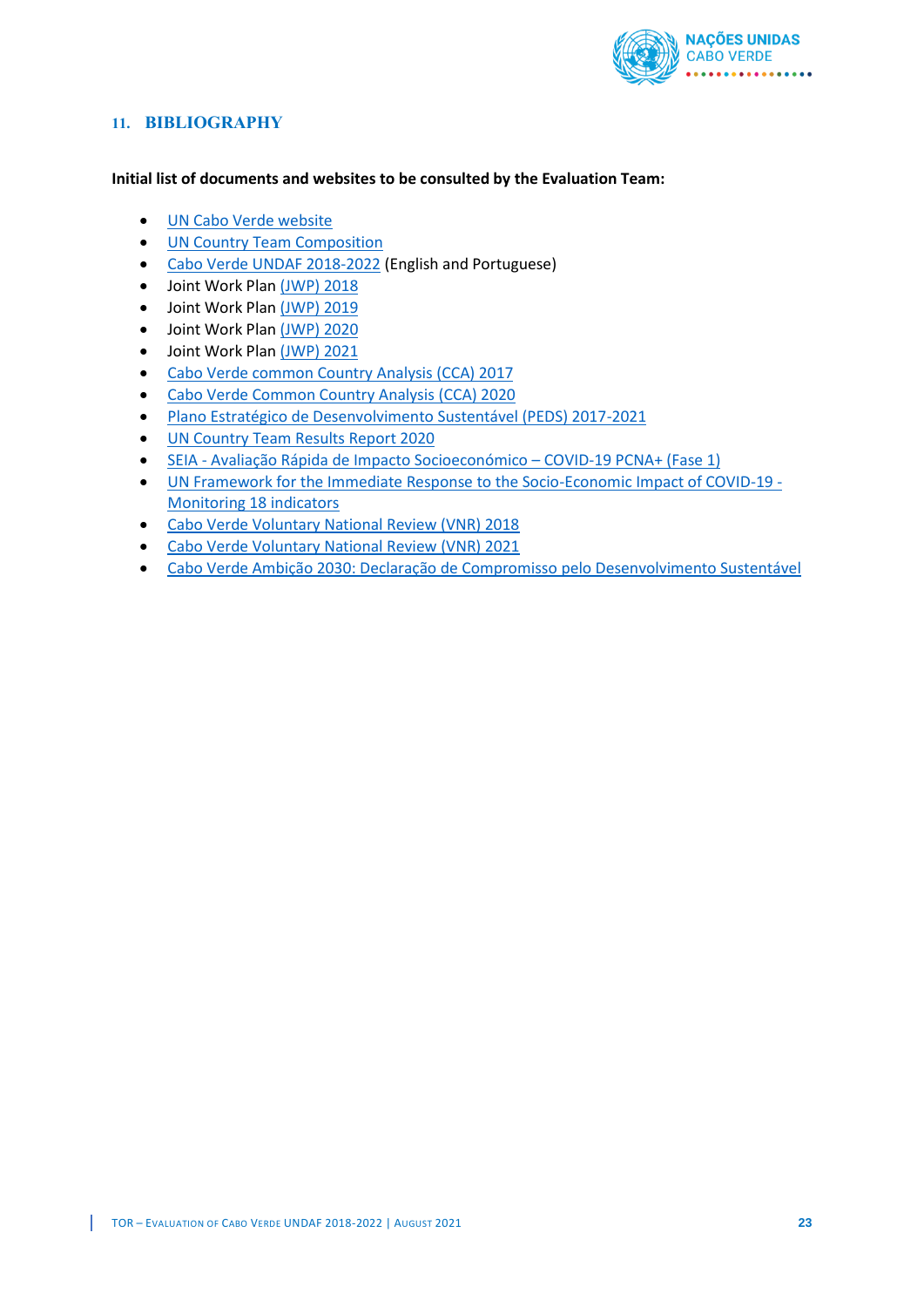

#### **11. BIBLIOGRAPHY**

#### **Initial list of documents and websites to be consulted by the Evaluation Team:**

- [UN Cabo Verde website](https://caboverde.un.org/pt)
- [UN Country Team Composition](https://uninfo.org/location/28/unct-overview)
- [Cabo Verde UNDAF 2018-2022](https://caboverde.un.org/pt/31262-cabo-verde-quadro-de-cooperacao-das-nacoes-unidas-para-o-desenvolvimento-undaf-2018-2022) (English and Portuguese)
- Joint Work Pla[n \(JWP\)](https://peds.gov.cv/sites/default/files/2018-10/PEDS%202017-2021%20-%20Vers%C3%A3o%20Final.pdf) 2018
- Joint Work Pla[n \(JWP\)](https://caboverde.un.org/pt/33741-plano-de-trabalho-conjunto-2019-nacoes-unidas-governo-de-cabo-verde) 2019
- Joint Work Pla[n \(JWP\)](https://peds.gov.cv/sites/default/files/2018-10/PEDS%202017-2021%20-%20Vers%C3%A3o%20Final.pdf) 2020
- Joint Work Pla[n \(JWP\)](https://peds.gov.cv/sites/default/files/2018-10/PEDS%202017-2021%20-%20Vers%C3%A3o%20Final.pdf) 2021
- [Cabo Verde common Country Analysis](https://caboverde.un.org/sites/default/files/2020-01/Common%20Country%20Analysis2017.pdf) (CCA) 2017
- [Cabo Verde Common Country Analysis](https://caboverde.un.org/pt/125437-cabo-verde-common-country-analysis-2020) (CCA) 2020
- [Plano Estratégico de Desenvolvimento Sustentável \(PEDS\) 2017-2021](https://peds.gov.cv/sites/default/files/2018-10/PEDS%202017-2021%20-%20Vers%C3%A3o%20Final.pdf)
- UN Country Team [Results Report 2020](https://caboverde.un.org/pt/123956-progress-report-2020)
- SEIA [Avaliação Rápida de Impacto Socioeconómico](https://caboverde.un.org/pt/114522-avaliacao-rapida-de-impacto-socioeconomico-pcna)  COVID-19 PCNA+ (Fase 1)
- [UN Framework for the Immediate Response to the Socio-Economic Impact of COVID-19 -](https://data.uninfo.org/Home/_SERP) [Monitoring 18 indicators](https://data.uninfo.org/Home/_SERP)
- [Cabo Verde Voluntary National Review \(VNR\) 2018](https://sustainabledevelopment.un.org/content/documents/19580Cabo_Verde_VNR_SDG_Cabo_Verde_2018_ING_final_NU_280618.pdf)
- [Cabo Verde Voluntary National Review \(VNR\) 2021](https://sustainabledevelopment.un.org/content/documents/282392021_VNR_Report_Cabo_Verde.pdf)
- [Cabo Verde Ambição 2030: Declaração de Compromisso pelo Desenvolvimento Sustentável](https://cvtradeinvest.com/wp-content/uploads/bsk-pdf-manager/2020/10/Declaracao-de-compromisso-agenda-2030.pdf)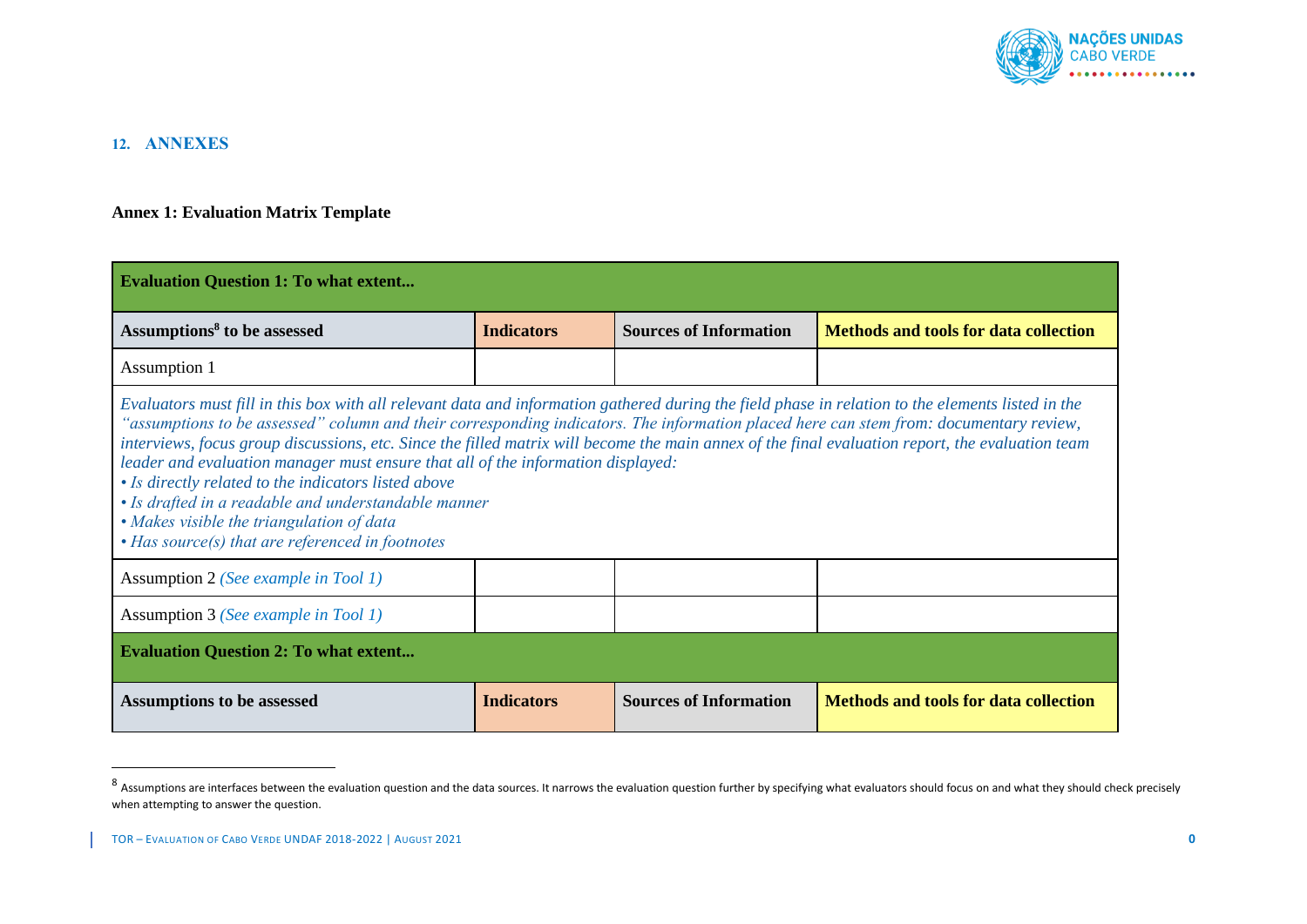

# **12. ANNEXES**

#### **Annex 1: Evaluation Matrix Template**

| <b>Evaluation Question 1: To what extent</b>                                                                                                                                                                                                                                                                                                                                                                                                                                                                                                                                                                                                                                                                                                         |                   |                                                                               |                                              |  |  |  |  |
|------------------------------------------------------------------------------------------------------------------------------------------------------------------------------------------------------------------------------------------------------------------------------------------------------------------------------------------------------------------------------------------------------------------------------------------------------------------------------------------------------------------------------------------------------------------------------------------------------------------------------------------------------------------------------------------------------------------------------------------------------|-------------------|-------------------------------------------------------------------------------|----------------------------------------------|--|--|--|--|
| Assumptions <sup>8</sup> to be assessed                                                                                                                                                                                                                                                                                                                                                                                                                                                                                                                                                                                                                                                                                                              | <b>Indicators</b> | <b>Sources of Information</b><br><b>Methods and tools for data collection</b> |                                              |  |  |  |  |
| Assumption 1                                                                                                                                                                                                                                                                                                                                                                                                                                                                                                                                                                                                                                                                                                                                         |                   |                                                                               |                                              |  |  |  |  |
| Evaluators must fill in this box with all relevant data and information gathered during the field phase in relation to the elements listed in the<br>"assumptions to be assessed" column and their corresponding indicators. The information placed here can stem from: documentary review,<br>interviews, focus group discussions, etc. Since the filled matrix will become the main annex of the final evaluation report, the evaluation team<br>leader and evaluation manager must ensure that all of the information displayed:<br>• Is directly related to the indicators listed above<br>• Is drafted in a readable and understandable manner<br>• Makes visible the triangulation of data<br>• Has source(s) that are referenced in footnotes |                   |                                                                               |                                              |  |  |  |  |
| Assumption 2 (See example in Tool 1)                                                                                                                                                                                                                                                                                                                                                                                                                                                                                                                                                                                                                                                                                                                 |                   |                                                                               |                                              |  |  |  |  |
| Assumption 3 (See example in Tool 1)                                                                                                                                                                                                                                                                                                                                                                                                                                                                                                                                                                                                                                                                                                                 |                   |                                                                               |                                              |  |  |  |  |
| <b>Evaluation Question 2: To what extent</b>                                                                                                                                                                                                                                                                                                                                                                                                                                                                                                                                                                                                                                                                                                         |                   |                                                                               |                                              |  |  |  |  |
| <b>Assumptions to be assessed</b>                                                                                                                                                                                                                                                                                                                                                                                                                                                                                                                                                                                                                                                                                                                    | <b>Indicators</b> | <b>Sources of Information</b>                                                 | <b>Methods and tools for data collection</b> |  |  |  |  |

 $^8$  Assumptions are interfaces between the evaluation question and the data sources. It narrows the evaluation question further by specifying what evaluators should focus on and what they should check precisely when attempting to answer the question.